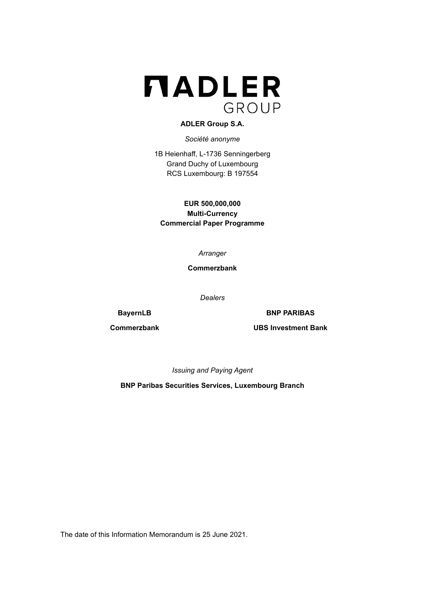

## **ADLER Group S.A.**

*Société anonyme*

1B Heienhaff, L-1736 Senningerberg Grand Duchy of Luxembourg RCS Luxembourg: B 197554

**EUR 500,000,000 Multi-Currency Commercial Paper Programme**

*Arranger*

**Commerzbank**

*Dealers*

**BayernLB BNP PARIBAS** 

**Commerzbank UBS Investment Bank**

*Issuing and Paying Agent*

**BNP Paribas Securities Services, Luxembourg Branch**

The date of this Information Memorandum is 25 June 2021.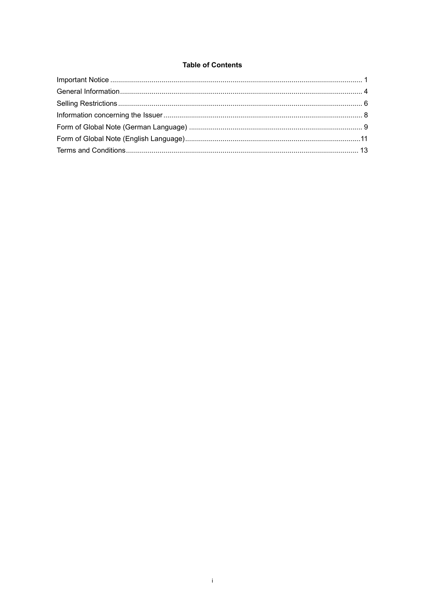## **Table of Contents**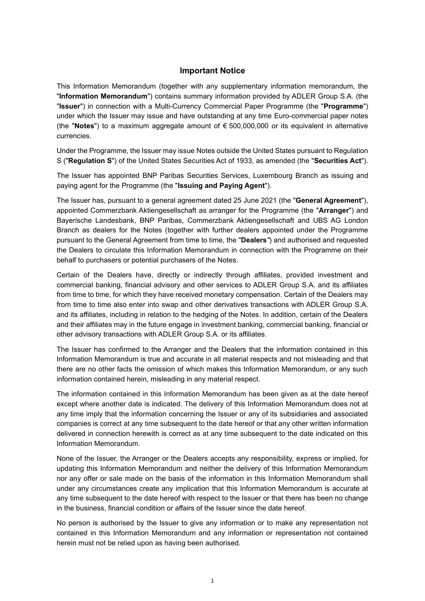# **Important Notice**

<span id="page-2-0"></span>This Information Memorandum (together with any supplementary information memorandum, the "**Information Memorandum**") contains summary information provided by ADLER Group S.A. (the "**Issuer**") in connection with a Multi-Currency Commercial Paper Programme (the "**Programme**") under which the Issuer may issue and have outstanding at any time Euro-commercial paper notes (the "**Notes**") to a maximum aggregate amount of € 500,000,000 or its equivalent in alternative currencies.

Under the Programme, the Issuer may issue Notes outside the United States pursuant to Regulation S ("**Regulation S**") of the United States Securities Act of 1933, as amended (the "**Securities Act**").

The Issuer has appointed BNP Paribas Securities Services, Luxembourg Branch as issuing and paying agent for the Programme (the "**Issuing and Paying Agent**").

The Issuer has, pursuant to a general agreement dated 25 June 2021 (the "**General Agreement**"), appointed Commerzbank Aktiengesellschaft as arranger for the Programme (the "**Arranger**") and Bayerische Landesbank, BNP Paribas, Commerzbank Aktiengesellschaft and UBS AG London Branch as dealers for the Notes (together with further dealers appointed under the Programme pursuant to the General Agreement from time to time, the "**Dealers***"*) and authorised and requested the Dealers to circulate this Information Memorandum in connection with the Programme on their behalf to purchasers or potential purchasers of the Notes.

Certain of the Dealers have, directly or indirectly through affiliates, provided investment and commercial banking, financial advisory and other services to ADLER Group S.A. and its affiliates from time to time, for which they have received monetary compensation. Certain of the Dealers may from time to time also enter into swap and other derivatives transactions with ADLER Group S.A. and its affiliates, including in relation to the hedging of the Notes. In addition, certain of the Dealers and their affiliates may in the future engage in investment banking, commercial banking, financial or other advisory transactions with ADLER Group S.A. or its affiliates.

The Issuer has confirmed to the Arranger and the Dealers that the information contained in this Information Memorandum is true and accurate in all material respects and not misleading and that there are no other facts the omission of which makes this Information Memorandum, or any such information contained herein, misleading in any material respect.

The information contained in this Information Memorandum has been given as at the date hereof except where another date is indicated. The delivery of this Information Memorandum does not at any time imply that the information concerning the Issuer or any of its subsidiaries and associated companies is correct at any time subsequent to the date hereof or that any other written information delivered in connection herewith is correct as at any time subsequent to the date indicated on this Information Memorandum.

None of the Issuer, the Arranger or the Dealers accepts any responsibility, express or implied, for updating this Information Memorandum and neither the delivery of this Information Memorandum nor any offer or sale made on the basis of the information in this Information Memorandum shall under any circumstances create any implication that this Information Memorandum is accurate at any time subsequent to the date hereof with respect to the Issuer or that there has been no change in the business, financial condition or affairs of the Issuer since the date hereof.

No person is authorised by the Issuer to give any information or to make any representation not contained in this Information Memorandum and any information or representation not contained herein must not be relied upon as having been authorised.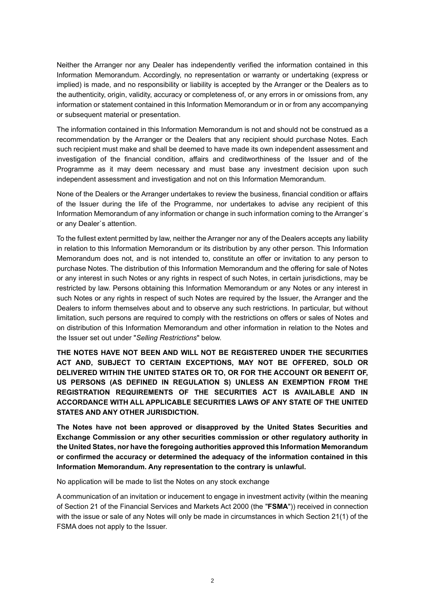Neither the Arranger nor any Dealer has independently verified the information contained in this Information Memorandum. Accordingly, no representation or warranty or undertaking (express or implied) is made, and no responsibility or liability is accepted by the Arranger or the Dealers as to the authenticity, origin, validity, accuracy or completeness of, or any errors in or omissions from, any information or statement contained in this Information Memorandum or in or from any accompanying or subsequent material or presentation.

The information contained in this Information Memorandum is not and should not be construed as a recommendation by the Arranger or the Dealers that any recipient should purchase Notes. Each such recipient must make and shall be deemed to have made its own independent assessment and investigation of the financial condition, affairs and creditworthiness of the Issuer and of the Programme as it may deem necessary and must base any investment decision upon such independent assessment and investigation and not on this Information Memorandum.

None of the Dealers or the Arranger undertakes to review the business, financial condition or affairs of the Issuer during the life of the Programme, nor undertakes to advise any recipient of this Information Memorandum of any information or change in such information coming to the Arranger`s or any Dealer`s attention.

To the fullest extent permitted by law, neither the Arranger nor any of the Dealers accepts any liability in relation to this Information Memorandum or its distribution by any other person. This Information Memorandum does not, and is not intended to, constitute an offer or invitation to any person to purchase Notes. The distribution of this Information Memorandum and the offering for sale of Notes or any interest in such Notes or any rights in respect of such Notes, in certain jurisdictions, may be restricted by law. Persons obtaining this Information Memorandum or any Notes or any interest in such Notes or any rights in respect of such Notes are required by the Issuer, the Arranger and the Dealers to inform themselves about and to observe any such restrictions. In particular, but without limitation, such persons are required to comply with the restrictions on offers or sales of Notes and on distribution of this Information Memorandum and other information in relation to the Notes and the Issuer set out under "*Selling Restrictions*" below.

**THE NOTES HAVE NOT BEEN AND WILL NOT BE REGISTERED UNDER THE SECURITIES ACT AND, SUBJECT TO CERTAIN EXCEPTIONS, MAY NOT BE OFFERED, SOLD OR DELIVERED WITHIN THE UNITED STATES OR TO, OR FOR THE ACCOUNT OR BENEFIT OF, US PERSONS (AS DEFINED IN REGULATION S) UNLESS AN EXEMPTION FROM THE REGISTRATION REQUIREMENTS OF THE SECURITIES ACT IS AVAILABLE AND IN ACCORDANCE WITH ALL APPLICABLE SECURITIES LAWS OF ANY STATE OF THE UNITED STATES AND ANY OTHER JURISDICTION.**

**The Notes have not been approved or disapproved by the United States Securities and Exchange Commission or any other securities commission or other regulatory authority in the United States, nor have the foregoing authorities approved this Information Memorandum or confirmed the accuracy or determined the adequacy of the information contained in this Information Memorandum. Any representation to the contrary is unlawful.**

No application will be made to list the Notes on any stock exchange

A communication of an invitation or inducement to engage in investment activity (within the meaning of Section 21 of the Financial Services and Markets Act 2000 (the "**FSMA**")) received in connection with the issue or sale of any Notes will only be made in circumstances in which Section 21(1) of the FSMA does not apply to the Issuer.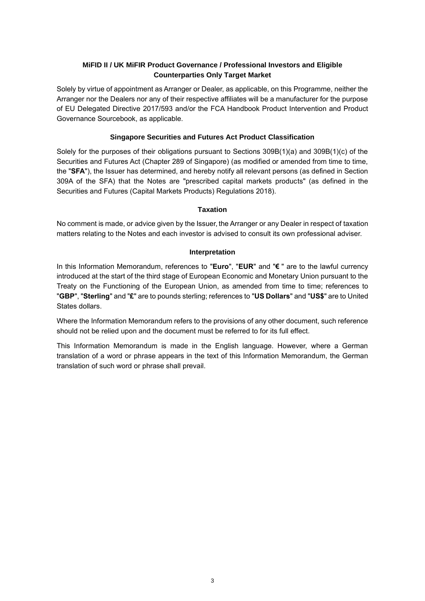# **MiFID II / UK MiFIR Product Governance / Professional Investors and Eligible Counterparties Only Target Market**

Solely by virtue of appointment as Arranger or Dealer, as applicable, on this Programme, neither the Arranger nor the Dealers nor any of their respective affiliates will be a manufacturer for the purpose of EU Delegated Directive 2017/593 and/or the FCA Handbook Product Intervention and Product Governance Sourcebook, as applicable.

## **Singapore Securities and Futures Act Product Classification**

Solely for the purposes of their obligations pursuant to Sections 309B(1)(a) and 309B(1)(c) of the Securities and Futures Act (Chapter 289 of Singapore) (as modified or amended from time to time, the "**SFA**"), the Issuer has determined, and hereby notify all relevant persons (as defined in Section 309A of the SFA) that the Notes are "prescribed capital markets products" (as defined in the Securities and Futures (Capital Markets Products) Regulations 2018).

## **Taxation**

No comment is made, or advice given by the Issuer, the Arranger or any Dealer in respect of taxation matters relating to the Notes and each investor is advised to consult its own professional adviser.

## **Interpretation**

In this Information Memorandum, references to "**Euro**", "**EUR**" and "**€** " are to the lawful currency introduced at the start of the third stage of European Economic and Monetary Union pursuant to the Treaty on the Functioning of the European Union, as amended from time to time; references to "**GBP**", "**Sterling**" and "**£**" are to pounds sterling; references to "**US Dollars**" and "**US\$**" are to United States dollars.

Where the Information Memorandum refers to the provisions of any other document, such reference should not be relied upon and the document must be referred to for its full effect.

This Information Memorandum is made in the English language. However, where a German translation of a word or phrase appears in the text of this Information Memorandum, the German translation of such word or phrase shall prevail.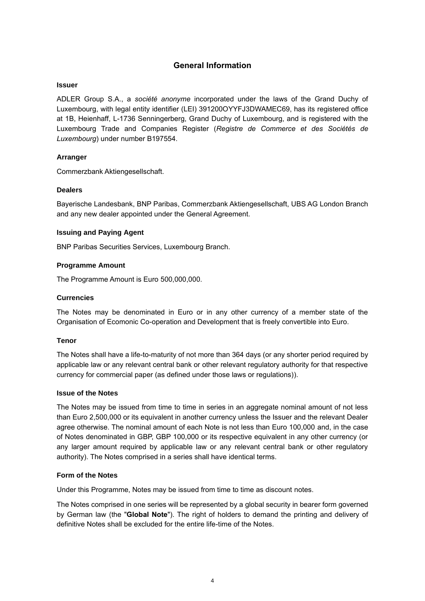# **General Information**

### <span id="page-5-0"></span>**Issuer**

ADLER Group S.A., a *société anonyme* incorporated under the laws of the Grand Duchy of Luxembourg, with legal entity identifier (LEI) 391200OYYFJ3DWAMEC69, has its registered office at 1B, Heienhaff, L-1736 Senningerberg, Grand Duchy of Luxembourg, and is registered with the Luxembourg Trade and Companies Register (*Registre de Commerce et des Sociétés de Luxembourg*) under number B197554.

## **Arranger**

Commerzbank Aktiengesellschaft.

## **Dealers**

Bayerische Landesbank, BNP Paribas, Commerzbank Aktiengesellschaft, UBS AG London Branch and any new dealer appointed under the General Agreement.

### **Issuing and Paying Agent**

BNP Paribas Securities Services, Luxembourg Branch.

## **Programme Amount**

The Programme Amount is Euro 500,000,000.

### **Currencies**

The Notes may be denominated in Euro or in any other currency of a member state of the Organisation of Ecomonic Co-operation and Development that is freely convertible into Euro.

### **Tenor**

The Notes shall have a life-to-maturity of not more than 364 days (or any shorter period required by applicable law or any relevant central bank or other relevant regulatory authority for that respective currency for commercial paper (as defined under those laws or regulations)).

### **Issue of the Notes**

The Notes may be issued from time to time in series in an aggregate nominal amount of not less than Euro 2,500,000 or its equivalent in another currency unless the Issuer and the relevant Dealer agree otherwise. The nominal amount of each Note is not less than Euro 100,000 and, in the case of Notes denominated in GBP, GBP 100,000 or its respective equivalent in any other currency (or any larger amount required by applicable law or any relevant central bank or other regulatory authority). The Notes comprised in a series shall have identical terms.

## **Form of the Notes**

Under this Programme, Notes may be issued from time to time as discount notes.

The Notes comprised in one series will be represented by a global security in bearer form governed by German law (the "**Global Note**"). The right of holders to demand the printing and delivery of definitive Notes shall be excluded for the entire life-time of the Notes.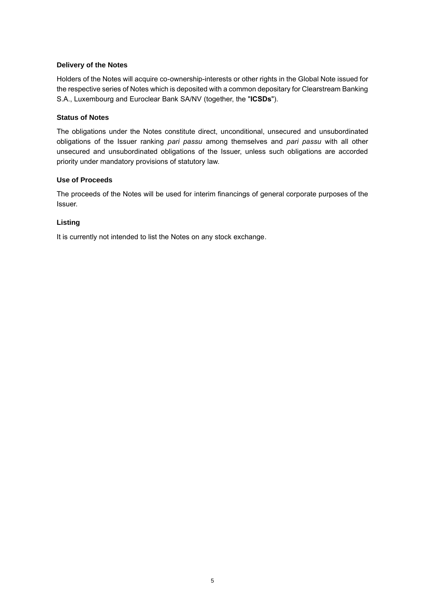## **Delivery of the Notes**

Holders of the Notes will acquire co-ownership-interests or other rights in the Global Note issued for the respective series of Notes which is deposited with a common depositary for Clearstream Banking S.A., Luxembourg and Euroclear Bank SA/NV (together, the "**ICSDs**").

## **Status of Notes**

The obligations under the Notes constitute direct, unconditional, unsecured and unsubordinated obligations of the Issuer ranking *pari passu* among themselves and *pari passu* with all other unsecured and unsubordinated obligations of the Issuer, unless such obligations are accorded priority under mandatory provisions of statutory law.

## **Use of Proceeds**

The proceeds of the Notes will be used for interim financings of general corporate purposes of the Issuer.

## **Listing**

It is currently not intended to list the Notes on any stock exchange.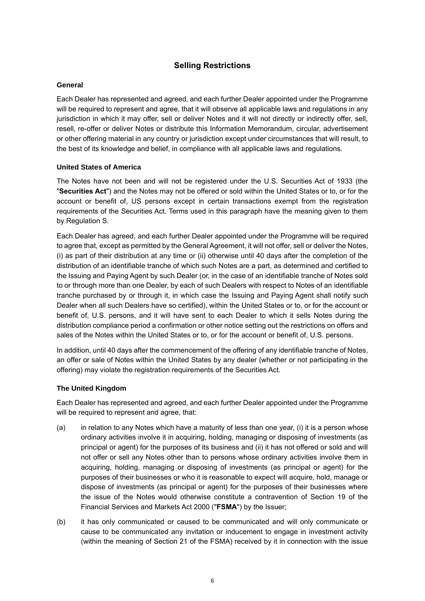# **Selling Restrictions**

### <span id="page-7-0"></span>**General**

Each Dealer has represented and agreed, and each further Dealer appointed under the Programme will be required to represent and agree, that it will observe all applicable laws and regulations in any jurisdiction in which it may offer, sell or deliver Notes and it will not directly or indirectly offer, sell, resell, re-offer or deliver Notes or distribute this Information Memorandum, circular, advertisement or other offering material in any country or jurisdiction except under circumstances that will result, to the best of its knowledge and belief, in compliance with all applicable laws and regulations.

## **United States of America**

The Notes have not been and will not be registered under the U.S. Securities Act of 1933 (the "**Securities Act**") and the Notes may not be offered or sold within the United States or to, or for the account or benefit of, US persons except in certain transactions exempt from the registration requirements of the Securities Act. Terms used in this paragraph have the meaning given to them by Regulation S.

Each Dealer has agreed, and each further Dealer appointed under the Programme will be required to agree that, except as permitted by the General Agreement, it will not offer, sell or deliver the Notes, (i) as part of their distribution at any time or (ii) otherwise until 40 days after the completion of the distribution of an identifiable tranche of which such Notes are a part, as determined and certified to the Issuing and Paying Agent by such Dealer (or, in the case of an identifiable tranche of Notes sold to or through more than one Dealer, by each of such Dealers with respect to Notes of an identifiable tranche purchased by or through it, in which case the Issuing and Paying Agent shall notify such Dealer when all such Dealers have so certified), within the United States or to, or for the account or benefit of, U.S. persons, and it will have sent to each Dealer to which it sells Notes during the distribution compliance period a confirmation or other notice setting out the restrictions on offers and sales of the Notes within the United States or to, or for the account or benefit of, U.S. persons.

In addition, until 40 days after the commencement of the offering of any identifiable tranche of Notes, an offer or sale of Notes within the United States by any dealer (whether or not participating in the offering) may violate the registration requirements of the Securities Act.

## **The United Kingdom**

Each Dealer has represented and agreed, and each further Dealer appointed under the Programme will be required to represent and agree, that:

- (a) in relation to any Notes which have a maturity of less than one year, (i) it is a person whose ordinary activities involve it in acquiring, holding, managing or disposing of investments (as principal or agent) for the purposes of its business and (ii) it has not offered or sold and will not offer or sell any Notes other than to persons whose ordinary activities involve them in acquiring, holding, managing or disposing of investments (as principal or agent) for the purposes of their businesses or who it is reasonable to expect will acquire, hold, manage or dispose of investments (as principal or agent) for the purposes of their businesses where the issue of the Notes would otherwise constitute a contravention of Section 19 of the Financial Services and Markets Act 2000 ("**FSMA**") by the Issuer;
- (b) it has only communicated or caused to be communicated and will only communicate or cause to be communicated any invitation or inducement to engage in investment activity (within the meaning of Section 21 of the FSMA) received by it in connection with the issue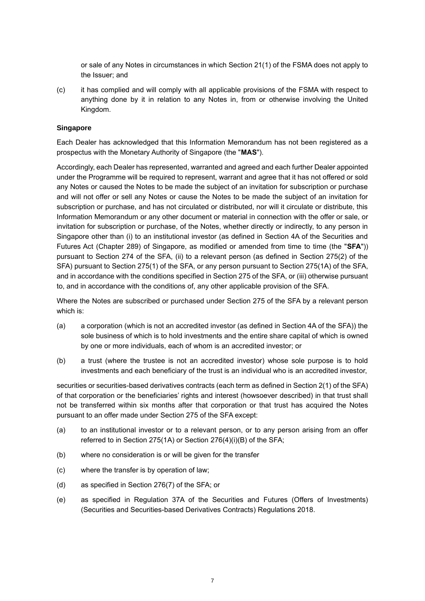or sale of any Notes in circumstances in which Section 21(1) of the FSMA does not apply to the Issuer; and

(c) it has complied and will comply with all applicable provisions of the FSMA with respect to anything done by it in relation to any Notes in, from or otherwise involving the United Kingdom.

### **Singapore**

Each Dealer has acknowledged that this Information Memorandum has not been registered as a prospectus with the Monetary Authority of Singapore (the "**MAS**").

Accordingly, each Dealer has represented, warranted and agreed and each further Dealer appointed under the Programme will be required to represent, warrant and agree that it has not offered or sold any Notes or caused the Notes to be made the subject of an invitation for subscription or purchase and will not offer or sell any Notes or cause the Notes to be made the subject of an invitation for subscription or purchase, and has not circulated or distributed, nor will it circulate or distribute, this Information Memorandum or any other document or material in connection with the offer or sale, or invitation for subscription or purchase, of the Notes, whether directly or indirectly, to any person in Singapore other than (i) to an institutional investor (as defined in Section 4A of the Securities and Futures Act (Chapter 289) of Singapore, as modified or amended from time to time (the "**SFA**")) pursuant to Section 274 of the SFA, (ii) to a relevant person (as defined in Section 275(2) of the SFA) pursuant to Section 275(1) of the SFA, or any person pursuant to Section 275(1A) of the SFA, and in accordance with the conditions specified in Section 275 of the SFA, or (iii) otherwise pursuant to, and in accordance with the conditions of, any other applicable provision of the SFA.

Where the Notes are subscribed or purchased under Section 275 of the SFA by a relevant person which is:

- (a) a corporation (which is not an accredited investor (as defined in Section 4A of the SFA)) the sole business of which is to hold investments and the entire share capital of which is owned by one or more individuals, each of whom is an accredited investor; or
- (b) a trust (where the trustee is not an accredited investor) whose sole purpose is to hold investments and each beneficiary of the trust is an individual who is an accredited investor,

securities or securities-based derivatives contracts (each term as defined in Section 2(1) of the SFA) of that corporation or the beneficiaries' rights and interest (howsoever described) in that trust shall not be transferred within six months after that corporation or that trust has acquired the Notes pursuant to an offer made under Section 275 of the SFA except:

- (a) to an institutional investor or to a relevant person, or to any person arising from an offer referred to in Section 275(1A) or Section 276(4)(i)(B) of the SFA;
- (b) where no consideration is or will be given for the transfer
- (c) where the transfer is by operation of law;
- (d) as specified in Section 276(7) of the SFA; or
- (e) as specified in Regulation 37A of the Securities and Futures (Offers of Investments) (Securities and Securities-based Derivatives Contracts) Regulations 2018.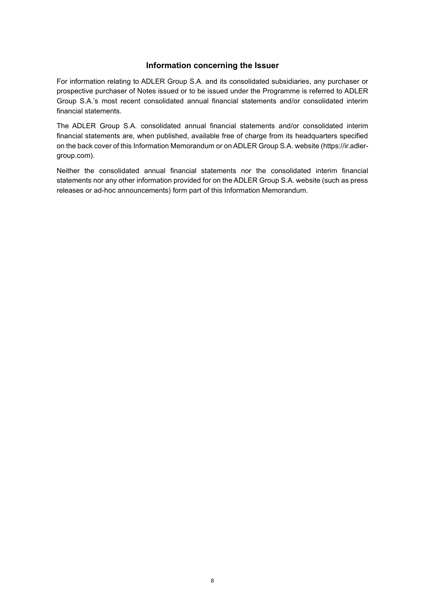# **Information concerning the Issuer**

<span id="page-9-0"></span>For information relating to ADLER Group S.A. and its consolidated subsidiaries, any purchaser or prospective purchaser of Notes issued or to be issued under the Programme is referred to ADLER Group S.A.'s most recent consolidated annual financial statements and/or consolidated interim financial statements.

The ADLER Group S.A. consolidated annual financial statements and/or consolidated interim financial statements are, when published, available free of charge from its headquarters specified on the back cover of this Information Memorandum or on ADLER Group S.A. website (https://ir.adlergroup.com).

Neither the consolidated annual financial statements nor the consolidated interim financial statements nor any other information provided for on the ADLER Group S.A. website (such as press releases or ad-hoc announcements) form part of this Information Memorandum.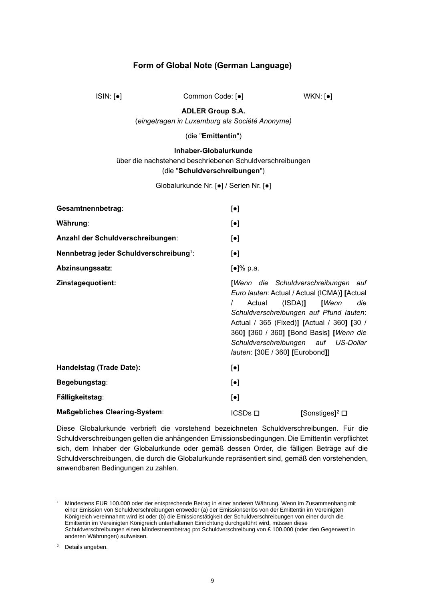## **Form of Global Note (German Language)**

<span id="page-10-0"></span>ISIN: [●] Common Code: [●] WKN: [●]

**ADLER Group S.A.**

(*eingetragen in Luxemburg als Société Anonyme)*

### (die "**Emittentin**")

## **Inhaber-Globalurkunde** über die nachstehend beschriebenen Schuldverschreibungen (die "**Schuldverschreibungen**")

Globalurkunde Nr. [●] / Serien Nr. [●]

| Gesamtnennbetrag:                                   | $\left[\bullet\right]$                                                                                                                                                                                                                                                                                                                                   |
|-----------------------------------------------------|----------------------------------------------------------------------------------------------------------------------------------------------------------------------------------------------------------------------------------------------------------------------------------------------------------------------------------------------------------|
| Währung:                                            | $\left[\bullet\right]$                                                                                                                                                                                                                                                                                                                                   |
| Anzahl der Schuldverschreibungen:                   | $\left[\bullet\right]$                                                                                                                                                                                                                                                                                                                                   |
| Nennbetrag jeder Schuldverschreibung <sup>1</sup> : | $\left[\bullet\right]$                                                                                                                                                                                                                                                                                                                                   |
| Abzinsungssatz:                                     | [●]% p.a.                                                                                                                                                                                                                                                                                                                                                |
| Zinstagequotient:                                   | [Wenn die Schuldverschreibungen auf<br>Euro lauten: Actual / Actual (ICMA)] [Actual<br>$(ISDA)$ [ <i>Wenn</i><br>die<br>$\prime$<br>Actual<br>Schuldverschreibungen auf Pfund lauten:<br>Actual / 365 (Fixed)] [Actual / 360] [30 /<br>360] [360 / 360] [Bond Basis] [Wenn die<br>Schuldverschreibungen auf US-Dollar<br>lauten: [30E / 360] [Eurobond]] |
| Handelstag (Trade Date):                            | $[\bullet]$                                                                                                                                                                                                                                                                                                                                              |
| Begebungstag:                                       | $\left[\bullet\right]$                                                                                                                                                                                                                                                                                                                                   |
| Fälligkeitstag:                                     | $\left[\bullet\right]$                                                                                                                                                                                                                                                                                                                                   |
| <b>Maßgebliches Clearing-System:</b>                | $ICSDs$ $\Box$<br>[Sonstiges] <sup>2</sup> □                                                                                                                                                                                                                                                                                                             |

Diese Globalurkunde verbrieft die vorstehend bezeichneten Schuldverschreibungen. Für die Schuldverschreibungen gelten die anhängenden Emissionsbedingungen. Die Emittentin verpflichtet sich, dem Inhaber der Globalurkunde oder gemäß dessen Order, die fälligen Beträge auf die Schuldverschreibungen, die durch die Globalurkunde repräsentiert sind, gemäß den vorstehenden, anwendbaren Bedingungen zu zahlen.

<sup>1</sup> Mindestens EUR 100.000 oder der entsprechende Betrag in einer anderen Währung. Wenn im Zusammenhang mit einer Emission von Schuldverschreibungen entweder (a) der Emissionserlös von der Emittentin im Vereinigten Königreich vereinnahmt wird ist oder (b) die Emissionstätigkeit der Schuldverschreibungen von einer durch die Emittentin im Vereinigten Königreich unterhaltenen Einrichtung durchgeführt wird, müssen diese Schuldverschreibungen einen Mindestnennbetrag pro Schuldverschreibung von £ 100.000 (oder den Gegenwert in anderen Währungen) aufweisen.

<sup>2</sup> Details angeben.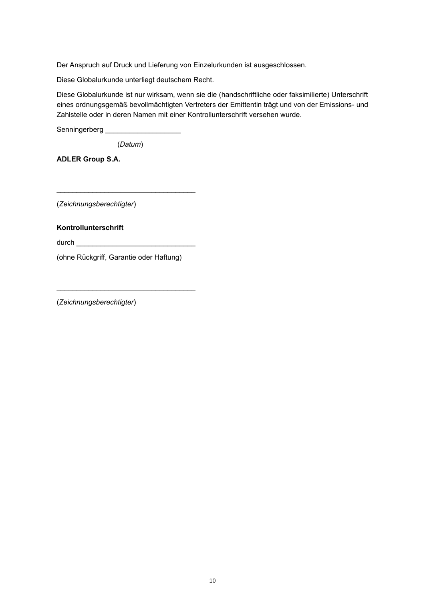Der Anspruch auf Druck und Lieferung von Einzelurkunden ist ausgeschlossen.

Diese Globalurkunde unterliegt deutschem Recht.

Diese Globalurkunde ist nur wirksam, wenn sie die (handschriftliche oder faksimilierte) Unterschrift eines ordnungsgemäß bevollmächtigten Vertreters der Emittentin trägt und von der Emissions- und Zahlstelle oder in deren Namen mit einer Kontrollunterschrift versehen wurde.

Senningerberg **with the Sensing** 

(*Datum*)

**ADLER Group S.A.**

(*Zeichnungsberechtigter*)

## **Kontrollunterschrift**

durch \_\_\_\_\_\_\_\_\_\_\_\_\_\_\_\_\_\_\_\_\_\_\_\_\_\_\_\_\_\_

\_\_\_\_\_\_\_\_\_\_\_\_\_\_\_\_\_\_\_\_\_\_\_\_\_\_\_\_\_\_\_\_\_\_\_

\_\_\_\_\_\_\_\_\_\_\_\_\_\_\_\_\_\_\_\_\_\_\_\_\_\_\_\_\_\_\_\_\_\_\_

(ohne Rückgriff, Garantie oder Haftung)

(*Zeichnungsberechtigter*)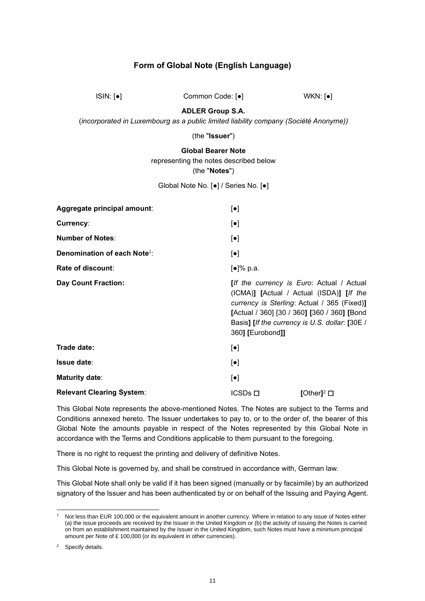# **Form of Global Note (English Language)**

<span id="page-12-0"></span>ISIN: [●] Common Code: [●] WKN: [●]

**ADLER Group S.A.**

(*incorporated in Luxembourg as a public limited liability company (Société Anonyme))*

(the "**Issuer**")

**Global Bearer Note**

representing the notes described below

(the "**Notes**")

Global Note No. [●] / Series No. [●]

| Aggregate principal amount:              | $\left[\bullet\right]$                                                                                                                                                                                                                                    |
|------------------------------------------|-----------------------------------------------------------------------------------------------------------------------------------------------------------------------------------------------------------------------------------------------------------|
| Currency:                                | $\left[\bullet\right]$                                                                                                                                                                                                                                    |
| <b>Number of Notes:</b>                  | $\left[\bullet\right]$                                                                                                                                                                                                                                    |
| Denomination of each Note <sup>1</sup> : | $\lbrack \bullet \rbrack$                                                                                                                                                                                                                                 |
| Rate of discount:                        | [•]% p.a.                                                                                                                                                                                                                                                 |
| <b>Day Count Fraction:</b>               | [If the currency is Euro: Actual / Actual<br>(ICMA)] [Actual / Actual (ISDA)] [If the<br>currency is Sterling: Actual / 365 (Fixed)]<br>[Actual / 360] [30 / 360] [360 / 360] [Bond<br>Basis] [If the currency is U.S. dollar: [30E /<br>360] [Eurobond]] |
| Trade date:                              | $[\bullet]$                                                                                                                                                                                                                                               |
| <b>Issue date:</b>                       | $[\bullet]$                                                                                                                                                                                                                                               |
| <b>Maturity date:</b>                    | $[\bullet]$                                                                                                                                                                                                                                               |
| <b>Relevant Clearing System:</b>         | $ICSDs$ $\Box$<br>[Other] <sup>2</sup> $\square$                                                                                                                                                                                                          |

This Global Note represents the above-mentioned Notes. The Notes are subject to the Terms and Conditions annexed hereto. The Issuer undertakes to pay to, or to the order of, the bearer of this Global Note the amounts payable in respect of the Notes represented by this Global Note in accordance with the Terms and Conditions applicable to them pursuant to the foregoing.

There is no right to request the printing and delivery of definitive Notes.

This Global Note is governed by, and shall be construed in accordance with, German law.

This Global Note shall only be valid if it has been signed (manually or by facsimile) by an authorized signatory of the Issuer and has been authenticated by or on behalf of the Issuing and Paying Agent.

Not less than EUR 100,000 or the equivalent amount in another currency. Where in relation to any issue of Notes either (a) the issue proceeds are received by the Issuer in the United Kingdom or (b) the activity of issuing the Notes is carried on from an establishment maintained by the Issuer in the United Kingdom, such Notes must have a minimum principal amount per Note of £ 100,000 (or its equivalent in other currencies).

<sup>&</sup>lt;sup>2</sup> Specify details.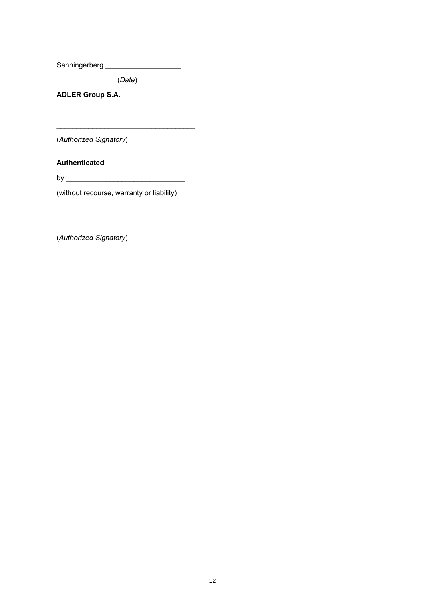Senningerberg \_\_\_\_\_\_\_\_\_\_\_\_\_\_\_\_\_\_\_

(*Date*)

\_\_\_\_\_\_\_\_\_\_\_\_\_\_\_\_\_\_\_\_\_\_\_\_\_\_\_\_\_\_\_\_\_\_\_

**ADLER Group S.A.**

(*Authorized Signatory*)

**Authenticated**

by \_\_\_\_\_\_\_\_\_\_\_\_\_\_\_\_\_\_\_\_\_\_\_\_\_\_\_\_\_\_

(without recourse, warranty or liability)

(*Authorized Signatory*)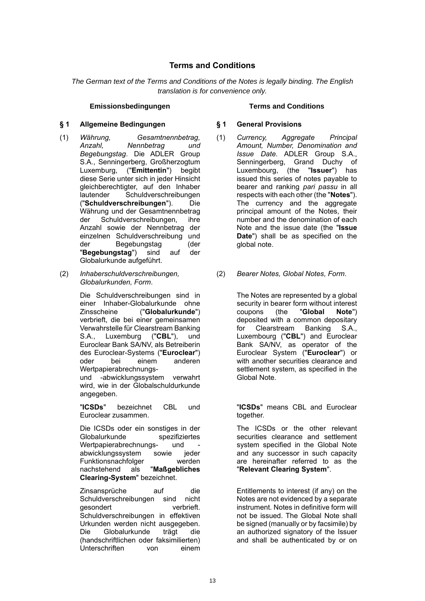## **Terms and Conditions**

<span id="page-14-0"></span>*The German text of the Terms and Conditions of the Notes is legally binding. The English translation is for convenience only.*

### **Emissionsbedingungen Terms and Conditions**

### **§ 1 Allgemeine Bedingungen § 1 General Provisions**

- (1) *Währung, Gesamtnennbetrag, Anzahl, Nennbetrag und Begebungstag*. Die ADLER Group S.A., Senningerberg, Großherzogtum Luxemburg, ("**Emittentin**") begibt diese Serie unter sich in jeder Hinsicht gleichberechtigter, auf den Inhaber lautender Schuldverschreibungen ("**Schuldverschreibungen**"). Die Währung und der Gesamtnennbetrag der Schuldverschreibungen, ihre Anzahl sowie der Nennbetrag der einzelnen Schuldverschreibung und der Begebungstag (der "**Begebungstag**") sind auf der Globalurkunde aufgeführt.
- (2) *Inhaberschuldverschreibungen, Globalurkunden, Form*.

Die Schuldverschreibungen sind in einer Inhaber-Globalurkunde ohne Zinsscheine ("**Globalurkunde**") verbrieft, die bei einer gemeinsamen Verwahrstelle für Clearstream Banking S.A., Luxemburg ("**CBL**"), und Euroclear Bank SA/NV, als Betreiberin des Euroclear-Systems ("**Euroclear**") oder bei einem anderen Wertpapierabrechnungsund -abwicklungssystem verwahrt wird, wie in der Globalschuldurkunde

angegeben.

"**ICSDs**" bezeichnet CBL und Euroclear zusammen.

Die ICSDs oder ein sonstiges in der Globalurkunde spezifiziertes Wertpapierabrechnungs- und abwicklungssystem sowie jeder Funktionsnachfolger werden nachstehend als "**Maßgebliches Clearing-System**" bezeichnet.

Zinsansprüche auf die Schuldverschreibungen sind nicht gesondert verbrieft. Schuldverschreibungen in effektiven Urkunden werden nicht ausgegeben. Die Globalurkunde trägt die (handschriftlichen oder faksimilierten) Unterschriften von einem

- (1) *Currency, Aggregate Principal Amount, Number, Denomination and Issue Date*. ADLER Group S.A., Senningerberg, Grand Duchy of Luxembourg, (the "**Issuer**") has issued this series of notes payable to bearer and ranking *pari passu* in all respects with each other (the "**Notes**"). The currency and the aggregate principal amount of the Notes, their number and the denomination of each Note and the issue date (the "**Issue Date**") shall be as specified on the global note.
- (2) *Bearer Notes, Global Notes, Form*.

The Notes are represented by a global security in bearer form without interest coupons (the "**Global Note**") deposited with a common depositary for Clearstream Banking S.A., Luxembourg ("**CBL**") and Euroclear Bank SA/NV, as operator of the Euroclear System ("**Euroclear**") or with another securities clearance and settlement system, as specified in the Global Note.

"**ICSDs**" means CBL and Euroclear together.

The ICSDs or the other relevant securities clearance and settlement system specified in the Global Note and any successor in such capacity are hereinafter referred to as the "**Relevant Clearing System**".

Entitlements to interest (if any) on the Notes are not evidenced by a separate instrument. Notes in definitive form will not be issued. The Global Note shall be signed (manually or by facsimile) by an authorized signatory of the Issuer and shall be authenticated by or on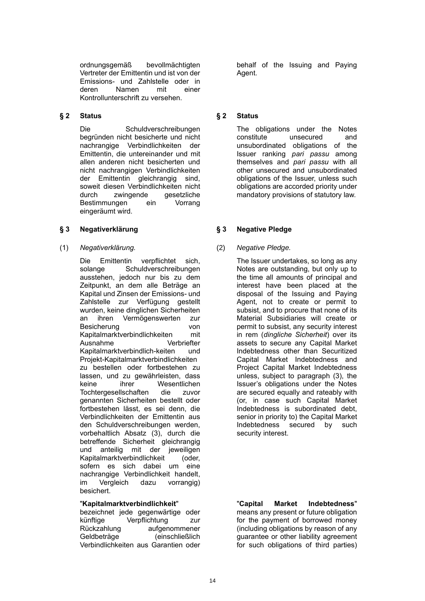ordnungsgemäß bevollmächtigten Vertreter der Emittentin und ist von der Emissions- und Zahlstelle oder in deren Namen mit einer Kontrollunterschrift zu versehen.

## **§ 2 Status § 2 Status**

Die Schuldverschreibungen begründen nicht besicherte und nicht nachrangige Verbindlichkeiten der Emittentin, die untereinander und mit allen anderen nicht besicherten und nicht nachrangigen Verbindlichkeiten der Emittentin gleichrangig sind, soweit diesen Verbindlichkeiten nicht durch zwingende gesetzliche<br>Bestimmungen ein Vorrang Bestimmungen ein eingeräumt wird.

## **§ 3 Negativerklärung § 3 Negative Pledge**

(1) *Negativerklärung.* (2) *Negative Pledge.*

Die Emittentin verpflichtet sich, solange Schuldverschreibungen ausstehen, jedoch nur bis zu dem Zeitpunkt, an dem alle Beträge an Kapital und Zinsen der Emissions- und Zahlstelle zur Verfügung gestellt wurden, keine dinglichen Sicherheiten an ihren Vermögenswerten zur Besicherung von Kapitalmarktverbindlichkeiten mit Ausnahme Verbriefter Kapitalmarktverbindlich-keiten und Projekt-Kapitalmarktverbindlichkeiten zu bestellen oder fortbestehen zu lassen, und zu gewährleisten, dass keine ihrer Wesentlichen Tochtergesellschaften die zuvor genannten Sicherheiten bestellt oder fortbestehen lässt, es sei denn, die Verbindlichkeiten der Emittentin aus den Schuldverschreibungen werden, vorbehaltlich Absatz (3), durch die betreffende Sicherheit gleichrangig und anteilig mit der jeweiligen Kapitalmarktverbindlichkeit (oder, sofern es sich dabei um eine nachrangige Verbindlichkeit handelt, im Vergleich dazu vorrangig) besichert.

## "**Kapitalmarktverbindlichkeit**"

bezeichnet jede gegenwärtige oder künftige Verpflichtung zur Rückzahlung aufgenommener Geldbeträge (einschließlich Verbindlichkeiten aus Garantien oder

behalf of the Issuing and Paying Agent.

The obligations under the Notes constitute unsecured and unsubordinated obligations of the Issuer ranking *pari passu* among themselves and *pari passu* with all other unsecured and unsubordinated obligations of the Issuer, unless such obligations are accorded priority under mandatory provisions of statutory law.

The Issuer undertakes, so long as any Notes are outstanding, but only up to the time all amounts of principal and interest have been placed at the disposal of the Issuing and Paying Agent, not to create or permit to subsist, and to procure that none of its Material Subsidiaries will create or permit to subsist, any security interest in rem (*dingliche Sicherheit*) over its assets to secure any Capital Market Indebtedness other than Securitized Capital Market Indebtedness and Project Capital Market Indebtedness unless, subject to paragraph (3), the Issuer's obligations under the Notes are secured equally and rateably with (or, in case such Capital Market Indebtedness is subordinated debt, senior in priority to) the Capital Market Indebtedness secured by such security interest.

### "**Capital Market Indebtedness**" means any present or future obligation for the payment of borrowed money (including obligations by reason of any guarantee or other liability agreement for such obligations of third parties)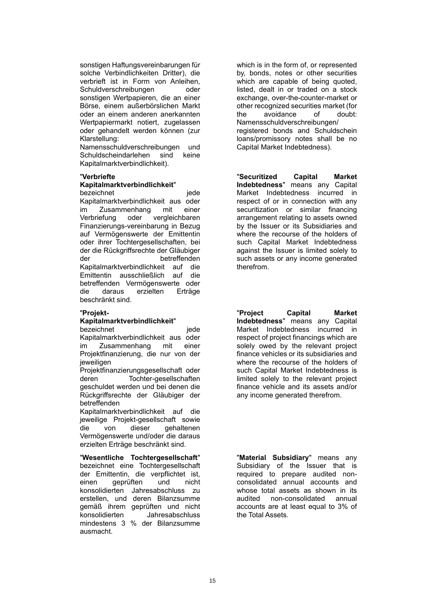sonstigen Haftungsvereinbarungen für solche Verbindlichkeiten Dritter), die verbrieft ist in Form von Anleihen, Schuldverschreibungen oder sonstigen Wertpapieren, die an einer Börse, einem außerbörslichen Markt oder an einem anderen anerkannten Wertpapiermarkt notiert, zugelassen oder gehandelt werden können (zur Klarstellung:

Namensschuldverschreibungen und Schuldscheindarlehen sind keine Kapitalmarktverbindlichkeit).

### "**Verbriefte**

### **Kapitalmarktverbindlichkeit**"

bezeichnet iede Kapitalmarktverbindlichkeit aus oder im Zusammenhang mit einer Verbriefung oder vergleichbaren Finanzierungs-vereinbarung in Bezug auf Vermögenswerte der Emittentin oder ihrer Tochtergesellschaften, bei der die Rückgriffsrechte der Gläubiger der betreffenden Kapitalmarktverbindlichkeit auf die Emittentin ausschließlich auf die betreffenden Vermögenswerte oder die daraus erzielten Erträge beschränkt sind.

## "**Projekt-**

### **Kapitalmarktverbindlichkeit**"

bezeichnet in deutscheiden bezeichnet in der geden der gelegen in der geden auch alle gelegen in der gelegen zu

Kapitalmarktverbindlichkeit aus oder im Zusammenhang mit einer Projektfinanzierung, die nur von der ieweiligen

Projektfinanzierungsgesellschaft oder deren Tochter-gesellschaften geschuldet werden und bei denen die Rückgriffsrechte der Gläubiger der betreffenden

Kapitalmarktverbindlichkeit auf die jeweilige Projekt-gesellschaft sowie die von dieser gehaltenen Vermögenswerte und/oder die daraus erzielten Erträge beschränkt sind.

### "**Wesentliche Tochtergesellschaft**"

bezeichnet eine Tochtergesellschaft der Emittentin, die verpflichtet ist, einen geprüften und nicht konsolidierten Jahresabschluss zu erstellen, und deren Bilanzsumme gemäß ihrem geprüften und nicht konsolidierten Jahresabschluss mindestens 3 % der Bilanzsumme ausmacht.

which is in the form of, or represented by, bonds, notes or other securities which are capable of being quoted, listed, dealt in or traded on a stock exchange, over-the-counter-market or other recognized securities market (for the avoidance of doubt: Namensschuldverschreibungen/ registered bonds and Schuldschein loans/promissory notes shall be no Capital Market Indebtedness).

"**Securitized Capital Market Indebtedness**" means any Capital Market Indebtedness incurred in respect of or in connection with any securitization or similar financing arrangement relating to assets owned by the Issuer or its Subsidiaries and where the recourse of the holders of such Capital Market Indebtedness against the Issuer is limited solely to such assets or any income generated therefrom.

"**Project Capital Market Indebtedness**" means any Capital Market Indebtedness incurred in respect of project financings which are solely owed by the relevant project finance vehicles or its subsidiaries and where the recourse of the holders of such Capital Market Indebtedness is limited solely to the relevant project finance vehicle and its assets and/or any income generated therefrom.

"**Material Subsidiary**" means any Subsidiary of the Issuer that is required to prepare audited nonconsolidated annual accounts and whose total assets as shown in its audited non-consolidated annual accounts are at least equal to 3% of the Total Assets.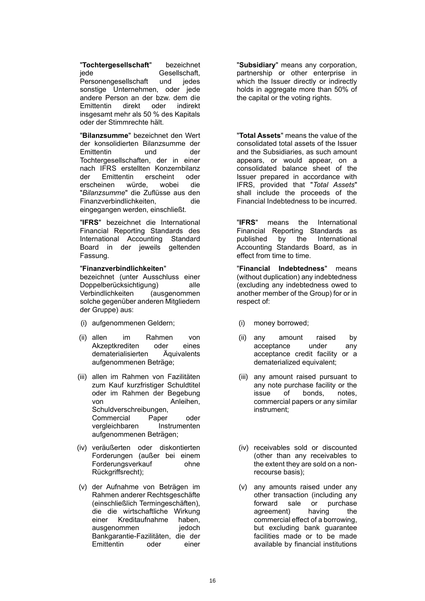"**Tochtergesellschaft**" bezeichnet jede Gesellschaft, Personengesellschaft und jedes sonstige Unternehmen, oder jede andere Person an der bzw. dem die Emittentin direkt oder indirekt insgesamt mehr als 50 % des Kapitals oder der Stimmrechte hält.

"**Bilanzsumme**" bezeichnet den Wert der konsolidierten Bilanzsumme der Emittentin und der Tochtergesellschaften, der in einer nach IFRS erstellten Konzernbilanz der Emittentin erscheint oder<br>erscheinen würde. wobei die erscheinen würde, wobei die "*Bilanzsumme*" die Zuflüsse aus den Finanzverbindlichkeiten, die eingegangen werden, einschließt.

"**IFRS**" bezeichnet die International Financial Reporting Standards des International Accounting Standard Board in der jeweils geltenden Fassung.

### "**Finanzverbindlichkeiten**"

bezeichnet (unter Ausschluss einer Doppelberücksichtigung) alle Verbindlichkeiten (ausgenommen solche gegenüber anderen Mitgliedern der Gruppe) aus:

- (i) aufgenommenen Geldern; (i) money borrowed;
- (ii) allen im Rahmen von Akzeptkrediten oder eines dematerialisierten Äquivalents aufgenommenen Beträge;
- (iii) allen im Rahmen von Fazilitäten zum Kauf kurzfristiger Schuldtitel oder im Rahmen der Begebung von Anleihen. Schuldverschreibungen, Commercial Paper oder vergleichbaren Instrumenten aufgenommenen Beträgen;
- (iv) veräußerten oder diskontierten Forderungen (außer bei einem Forderungsverkauf ohne Rückgriffsrecht);
- (v) der Aufnahme von Beträgen im Rahmen anderer Rechtsgeschäfte (einschließlich Termingeschäften), die die wirtschaftliche Wirkung einer Kreditaufnahme haben, ausgenommen jedoch Bankgarantie-Fazilitäten, die der Emittentin oder einer

"**Subsidiary**" means any corporation, partnership or other enterprise in which the Issuer directly or indirectly holds in aggregate more than 50% of the capital or the voting rights.

"**Total Assets**" means the value of the consolidated total assets of the Issuer and the Subsidiaries, as such amount appears, or would appear, on a consolidated balance sheet of the Issuer prepared in accordance with IFRS, provided that "*Total Assets*" shall include the proceeds of the Financial Indebtedness to be incurred.

"**IFRS**" means the International Financial Reporting Standards as published by the International Accounting Standards Board, as in effect from time to time.

"**Financial Indebtedness**" means (without duplication) any indebtedness (excluding any indebtedness owed to another member of the Group) for or in respect of:

- 
- (ii) any amount raised by acceptance under any acceptance credit facility or a dematerialized equivalent;
- (iii) any amount raised pursuant to any note purchase facility or the issue of bonds, notes, commercial papers or any similar instrument;
- (iv) receivables sold or discounted (other than any receivables to the extent they are sold on a nonrecourse basis);
- (v) any amounts raised under any other transaction (including any forward sale or purchase agreement) having the commercial effect of a borrowing, but excluding bank guarantee facilities made or to be made available by financial institutions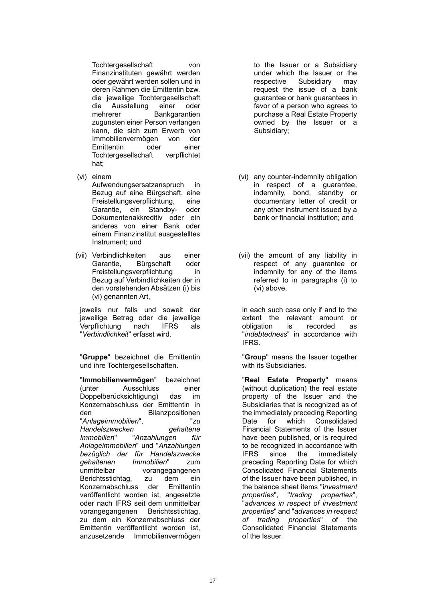Tochtergesellschaft von Finanzinstituten gewährt werden oder gewährt werden sollen und in deren Rahmen die Emittentin bzw. die jeweilige Tochtergesellschaft die Ausstellung einer oder mehrerer Bankgarantien zugunsten einer Person verlangen kann, die sich zum Erwerb von Immobilienvermögen von der Emittentin oder einer Tochtergesellschaft verpflichtet hat;

(vi) einem

Aufwendungsersatzanspruch in Bezug auf eine Bürgschaft, eine Freistellungsverpflichtung, eine Garantie, ein Standby- oder Dokumentenakkreditiv oder ein anderes von einer Bank oder einem Finanzinstitut ausgestelltes Instrument; und

(vii) Verbindlichkeiten aus einer Garantie, Bürgschaft oder Freistellungsverpflichtung in Bezug auf Verbindlichkeiten der in den vorstehenden Absätzen (i) bis (vi) genannten Art,

jeweils nur falls und soweit der jeweilige Betrag oder die jeweilige Verpflichtung nach IFRS als "*Verbindlichkeit*" erfasst wird.

"**Gruppe**" bezeichnet die Emittentin und ihre Tochtergesellschaften.

"**Immobilienvermögen**" bezeichnet (unter Ausschluss einer Doppelberücksichtigung) das im Konzernabschluss der Emittentin in den Bilanzpositionen "*Anlageimmobilien*", "*zu*   $H$ andelszwecken *Immobilien*" "*Anzahlungen für Anlageimmobilien*" und "*Anzahlungen bezüglich der für Handelszwecke gehaltenen Immobilien*" zum unmittelbar vorangegangenen Berichtsstichtag, zu dem ein Konzernabschluss der Emittentin veröffentlicht worden ist, angesetzte oder nach IFRS seit dem unmittelbar vorangegangenen Berichtsstichtag, zu dem ein Konzernabschluss der Emittentin veröffentlicht worden ist, anzusetzende Immobilienvermögen

to the Issuer or a Subsidiary under which the Issuer or the respective Subsidiary may request the issue of a bank guarantee or bank guarantees in favor of a person who agrees to purchase a Real Estate Property owned by the Issuer or a Subsidiary;

- (vi) any counter-indemnity obligation in respect of a guarantee, indemnity, bond, standby or documentary letter of credit or any other instrument issued by a bank or financial institution; and
- (vii) the amount of any liability in respect of any guarantee or indemnity for any of the items referred to in paragraphs (i) to (vi) above,

in each such case only if and to the extent the relevant amount or obligation is recorded as "*indebtedness*" in accordance with IFRS.

"**Group**" means the Issuer together with its Subsidiaries.

"**Real Estate Property**" means (without duplication) the real estate property of the Issuer and the Subsidiaries that is recognized as of the immediately preceding Reporting Date for which Consolidated Financial Statements of the Issuer have been published, or is required to be recognized in accordance with IFRS since the immediately preceding Reporting Date for which Consolidated Financial Statements of the Issuer have been published, in the balance sheet items "i*nvestment properties*", "*trading properties*", "*advances in respect of investment properties*" and "*advances in respect of trading properties*" of the Consolidated Financial Statements of the Issuer.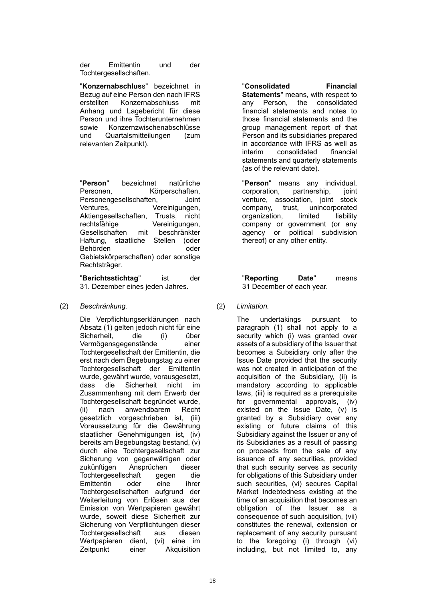der Emittentin und der Tochtergesellschaften.

"**Konzernabschlus**s" bezeichnet in Bezug auf eine Person den nach IFRS erstellten Konzernabschluss mit Anhang und Lagebericht für diese Person und ihre Tochterunternehmen sowie Konzernzwischenabschlüsse und Quartalsmitteilungen (zum relevanten Zeitpunkt).

"**Person**" bezeichnet natürliche Personen, Körperschaften, Personengesellschaften, Joint Ventures, Vereinigungen, Aktiengesellschaften, Trusts, nicht rechtsfähige Vereinigungen, Gesellschaften mit beschränkter Haftung, staatliche Stellen (oder Behörden oder oder Gebietskörperschaften) oder sonstige Rechtsträger.

"**Berichtsstichtag**" ist der 31. Dezember eines jeden Jahres.

## (2) *Beschränkung.* (2) *Limitation.*

Die Verpflichtungserklärungen nach Absatz (1) gelten jedoch nicht für eine Sicherheit, die (i) über Vermögensgegenstände einer Tochtergesellschaft der Emittentin, die erst nach dem Begebungstag zu einer Tochtergesellschaft der Emittentin wurde, gewährt wurde, vorausgesetzt, dass die Sicherheit nicht im Zusammenhang mit dem Erwerb der Tochtergesellschaft begründet wurde, (ii) nach anwendbarem Recht gesetzlich vorgeschrieben ist, (iii) Voraussetzung für die Gewährung staatlicher Genehmigungen ist, (iv) bereits am Begebungstag bestand, (v) durch eine Tochtergesellschaft zur Sicherung von gegenwärtigen oder zukünftigen Ansprüchen dieser Tochtergesellschaft gegen die Emittentin oder eine ihrer Tochtergesellschaften aufgrund der Weiterleitung von Erlösen aus der Emission von Wertpapieren gewährt wurde, soweit diese Sicherheit zur Sicherung von Verpflichtungen dieser Tochtergesellschaft aus diesen Wertpapieren dient, (vi) eine im Zeitpunkt einer Akquisition

"**Consolidated Financial Statements**" means, with respect to any Person, the consolidated financial statements and notes to those financial statements and the group management report of that Person and its subsidiaries prepared in accordance with IFRS as well as interim consolidated financial statements and quarterly statements (as of the relevant date).

"**Person**" means any individual, corporation, partnership, joint venture, association, joint stock company, trust, unincorporated organization, limited liability company or government (or any agency or political subdivision thereof) or any other entity.

### "**Reporting Date**" means 31 December of each year.

The undertakings pursuant to paragraph (1) shall not apply to a security which (i) was granted over assets of a subsidiary of the Issuer that becomes a Subsidiary only after the Issue Date provided that the security was not created in anticipation of the acquisition of the Subsidiary, (ii) is mandatory according to applicable laws, (iii) is required as a prerequisite for governmental approvals, (iv) existed on the Issue Date, (v) is granted by a Subsidiary over any existing or future claims of this Subsidiary against the Issuer or any of its Subsidiaries as a result of passing on proceeds from the sale of any issuance of any securities, provided that such security serves as security for obligations of this Subsidiary under such securities, (vi) secures Capital Market Indebtedness existing at the time of an acquisition that becomes an obligation of the Issuer as a consequence of such acquisition, (vii) constitutes the renewal, extension or replacement of any security pursuant to the foregoing (i) through (vi) including, but not limited to, any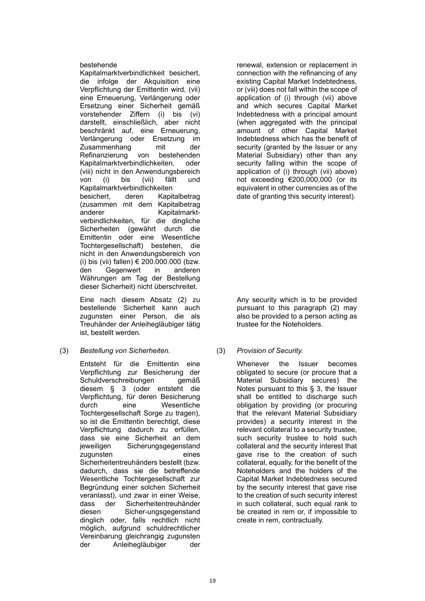### bestehende

Kapitalmarktverbindlichkeit besichert, die infolge der Akquisition eine Verpflichtung der Emittentin wird, (vii) eine Erneuerung, Verlängerung oder Ersetzung einer Sicherheit gemäß vorstehender Ziffern (i) bis (vi) darstellt, einschließlich, aber nicht beschränkt auf, eine Erneuerung, Verlängerung oder Ersetzung im Zusammenhang mit der Refinanzierung von bestehenden Kapitalmarktverbindlichkeiten, oder (viii) nicht in den Anwendungsbereich von (i) bis (vii) fällt und Kapitalmarktverbindlichkeiten besichert, deren Kapitalbetrag (zusammen mit dem Kapitalbetrag anderer Kapitalmarktverbindlichkeiten, für die dingliche Sicherheiten (gewährt durch die Emittentin oder eine Wesentliche Tochtergesellschaft) bestehen, die nicht in den Anwendungsbereich von (i) bis (vii) fallen) € 200.000.000 (bzw. den Gegenwert in anderen Währungen am Tag der Bestellung dieser Sicherheit) nicht überschreitet.

Eine nach diesem Absatz (2) zu bestellende Sicherheit kann auch zugunsten einer Person, die als Treuhänder der Anleihegläubiger tätig ist, bestellt werden.

(3) *Bestellung von Sicherheiten.* (3) *Provision of Security.*

Entsteht für die Emittentin eine Verpflichtung zur Besicherung der Schuldverschreibungen gemäß diesem § 3 (oder entsteht die Verpflichtung, für deren Besicherung durch eine Wesentliche Tochtergesellschaft Sorge zu tragen), so ist die Emittentin berechtigt, diese Verpflichtung dadurch zu erfüllen, dass sie eine Sicherheit an dem jeweiligen Sicherungsgegenstand zugunsten eines Sicherheitentreuhänders bestellt (bzw. dadurch, dass sie die betreffende Wesentliche Tochtergesellschaft zur Begründung einer solchen Sicherheit veranlasst), und zwar in einer Weise, dass der Sicherheitentreuhänder diesen Sicher-ungsgegenstand dinglich oder, falls rechtlich nicht möglich, aufgrund schuldrechtlicher Vereinbarung gleichrangig zugunsten der Anleihegläubiger der

renewal, extension or replacement in connection with the refinancing of any existing Capital Market Indebtedness, or (viii) does not fall within the scope of application of (i) through (vii) above and which secures Capital Market Indebtedness with a principal amount (when aggregated with the principal amount of other Capital Market Indebtedness which has the benefit of security (granted by the Issuer or any Material Subsidiary) other than any security falling within the scope of application of (i) through (vii) above) not exceeding €200,000,000 (or its equivalent in other currencies as of the date of granting this security interest).

Any security which is to be provided pursuant to this paragraph (2) may also be provided to a person acting as trustee for the Noteholders.

Whenever the Issuer becomes obligated to secure (or procure that a Material Subsidiary secures) the Notes pursuant to this § 3, the Issuer shall be entitled to discharge such obligation by providing (or procuring that the relevant Material Subsidiary provides) a security interest in the relevant collateral to a security trustee, such security trustee to hold such collateral and the security interest that gave rise to the creation of such collateral, equally, for the benefit of the Noteholders and the holders of the Capital Market Indebtedness secured by the security interest that gave rise to the creation of such security interest in such collateral, such equal rank to be created in rem or, if impossible to create in rem, contractually.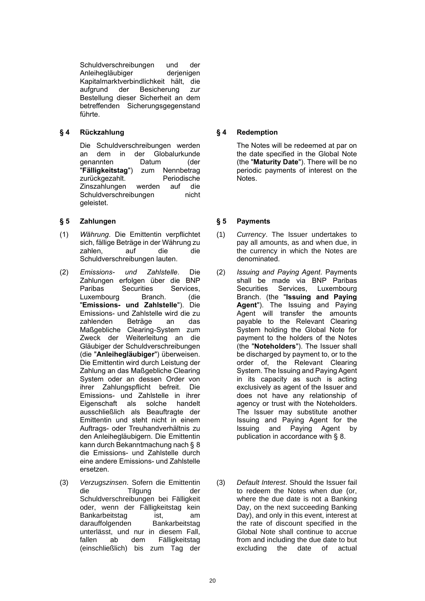Schuldverschreibungen und der Anleihegläubiger derjenigen Kapitalmarktverbindlichkeit hält, die aufgrund der Besicherung zur Bestellung dieser Sicherheit an dem betreffenden Sicherungsgegenstand führte.

## **§ 4 Rückzahlung § 4 Redemption**

Die Schuldverschreibungen werden an dem in der Globalurkunde genannten Datum (der "**Fälligkeitstag**") zum Nennbetrag zurückgezahlt. Periodische Zinszahlungen werden auf die Schuldverschreibungen nicht geleistet.

## **§ 5 Zahlungen § 5 Payments**

- (1) *Währung*. Die Emittentin verpflichtet sich, fällige Beträge in der Währung zu zahlen, auf die die Schuldverschreibungen lauten.
- (2) *Emissions- und Zahlstelle*. Die Zahlungen erfolgen über die BNP Paribas Securities Services, Luxembourg Branch. (die "**Emissions- und Zahlstelle**"). Die Emissions- und Zahlstelle wird die zu zahlenden Beträge an das Maßgebliche Clearing-System zum Zweck der Weiterleitung an die Gläubiger der Schuldverschreibungen (die "**Anleihegläubiger**") überweisen. Die Emittentin wird durch Leistung der Zahlung an das Maßgebliche Clearing System oder an dessen Order von ihrer Zahlungspflicht befreit. Die Emissions- und Zahlstelle in ihrer Eigenschaft als solche handelt ausschließlich als Beauftragte der Emittentin und steht nicht in einem Auftrags- oder Treuhandverhältnis zu den Anleihegläubigern. Die Emittentin kann durch Bekanntmachung nach § 8 die Emissions- und Zahlstelle durch eine andere Emissions- und Zahlstelle ersetzen.
- (3) *Verzugszinsen*. Sofern die Emittentin die Tilgung der Schuldverschreibungen bei Fälligkeit oder, wenn der Fälligkeitstag kein Bankarbeitstag ist, am darauffolgenden Bankarbeitstag unterlässt, und nur in diesem Fall, fallen ab dem Fälligkeitstag (einschließlich) bis zum Tag der

The Notes will be redeemed at par on the date specified in the Global Note (the "**Maturity Date**"). There will be no periodic payments of interest on the Notes.

- (1) *Currency*. The Issuer undertakes to pay all amounts, as and when due, in the currency in which the Notes are denominated.
- (2) *Issuing and Paying Agent*. Payments shall be made via BNP Paribas Securities Services, Luxembourg Branch. (the "**Issuing and Paying Agent**"). The Issuing and Paying Agent will transfer the amounts payable to the Relevant Clearing System holding the Global Note for payment to the holders of the Notes (the "**Noteholders**"). The Issuer shall be discharged by payment to, or to the order of, the Relevant Clearing System. The Issuing and Paying Agent in its capacity as such is acting exclusively as agent of the Issuer and does not have any relationship of agency or trust with the Noteholders. The Issuer may substitute another Issuing and Paying Agent for the Issuing and Paying Agent by publication in accordance with § 8.
- (3) *Default Interest*. Should the Issuer fail to redeem the Notes when due (or, where the due date is not a Banking Day, on the next succeeding Banking Day), and only in this event, interest at the rate of discount specified in the Global Note shall continue to accrue from and including the due date to but excluding the date of actual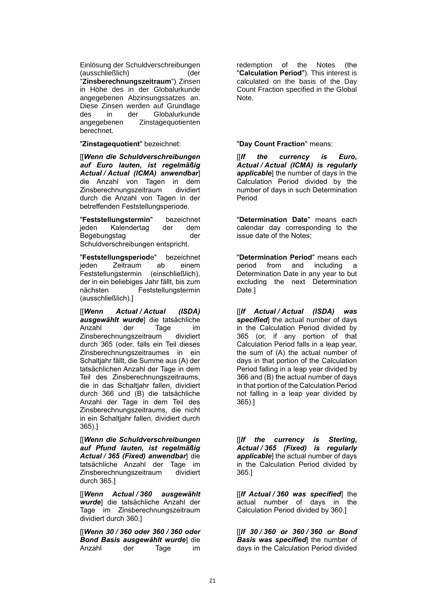Einlösung der Schuldverschreibungen (ausschließlich) (der "**Zinsberechnungszeitraum**") Zinsen in Höhe des in der Globalurkunde angegebenen Abzinsungssatzes an. Diese Zinsen werden auf Grundlage des in der Globalurkunde angegebenen Zinstagequotienten berechnet.

"**Zinstagequotient**" bezeichnet: "**Day Count Fraction**" means:

[[*Wenn die Schuldverschreibungen auf Euro lauten, ist regelmäßig Actual / Actual (ICMA) anwendbar*] die Anzahl von Tagen in dem Zinsberechnungszeitraum dividiert durch die Anzahl von Tagen in der betreffenden Feststellungsperiode.

"**Feststellungstermin**" bezeichnet jeden Kalendertag der dem Begebungstag der Schuldverschreibungen entspricht.

"**Feststellungsperiod**e" bezeichnet jeden Zeitraum ab einem Feststellungstermin (einschließlich), der in ein beliebiges Jahr fällt, bis zum nächsten Feststellungstermin (ausschließlich).]

[[*Wenn Actual / Actual (ISDA) ausgewählt wurde*] die tatsächliche Anzahl der Tage im Zinsberechnungszeitraum dividiert durch 365 (oder, falls ein Teil dieses Zinsberechnungszeitraumes in ein Schaltjahr fällt, die Summe aus (A) der tatsächlichen Anzahl der Tage in dem Teil des Zinsberechnungszeitraums, die in das Schaltjahr fallen, dividiert durch 366 und (B) die tatsächliche Anzahl der Tage in dem Teil des Zinsberechnungszeitraums, die nicht in ein Schaltjahr fallen, dividiert durch 365).]

[[*Wenn die Schuldverschreibungen auf Pfund lauten, ist regelmäßig Actual / 365 (Fixed) anwendbar*] die tatsächliche Anzahl der Tage im Zinsberechnungszeitraum dividiert durch 365.]

[[*Wenn Actual / 360 ausgewählt wurde*] die tatsächliche Anzahl der Tage im Zinsberechnungszeitraum dividiert durch 360.]

[[*Wenn 30 / 360 oder 360 / 360 oder Bond Basis ausgewählt wurde*] die Anzahl der Tage im

redemption of the Notes (the "**Calculation Period**"). This interest is calculated on the basis of the Day Count Fraction specified in the Global Note.

[[*If the currency is Euro, Actual / Actual (ICMA) is regularly applicable*] the number of days in the Calculation Period divided by the number of days in such Determination Period

"**Determination Date**" means each calendar day corresponding to the issue date of the Notes;

"**Determination Period**" means each period from and including Determination Date in any year to but excluding the next Determination Date.]

[[*If Actual / Actual (ISDA) was specified*] the actual number of days in the Calculation Period divided by 365 (or, if any portion of that Calculation Period falls in a leap year, the sum of (A) the actual number of days in that portion of the Calculation Period falling in a leap year divided by 366 and (B) the actual number of days in that portion of the Calculation Period not falling in a leap year divided by 365).]

[[*If the currency is Sterling, Actual / 365 (Fixed) is regularly applicable*] the actual number of days in the Calculation Period divided by 365.]

[[*If Actual / 360 was specified*] the actual number of days in the Calculation Period divided by 360.]

[[*If 30 / 360 or 360 / 360 or Bond Basis was specified*] the number of days in the Calculation Period divided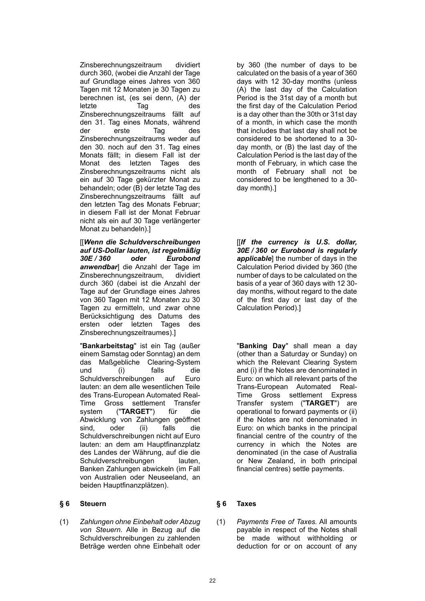Zinsberechnungszeitraum dividiert durch 360, (wobei die Anzahl der Tage auf Grundlage eines Jahres von 360 Tagen mit 12 Monaten je 30 Tagen zu berechnen ist, (es sei denn, (A) der letzte Tag des Zinsberechnungszeitraums fällt auf den 31. Tag eines Monats, während der erste Tag des Zinsberechnungszeitraums weder auf den 30. noch auf den 31. Tag eines Monats fällt; in diesem Fall ist der Monat des letzten Tages des Zinsberechnungszeitraums nicht als ein auf 30 Tage gekürzter Monat zu behandeln; oder (B) der letzte Tag des Zinsberechnungszeitraums fällt auf den letzten Tag des Monats Februar; in diesem Fall ist der Monat Februar nicht als ein auf 30 Tage verlängerter Monat zu behandeln).]

[[*Wenn die Schuldverschreibungen auf US-Dollar lauten, ist regelmäßig 30E / 360 oder Eurobond anwendbar*] die Anzahl der Tage im Zinsberechnungszeitraum, dividiert durch 360 (dabei ist die Anzahl der Tage auf der Grundlage eines Jahres von 360 Tagen mit 12 Monaten zu 30 Tagen zu ermitteln, und zwar ohne Berücksichtigung des Datums des ersten oder letzten Tages des Zinsberechnungszeitraumes).]

"**Bankarbeitstag**" ist ein Tag (außer einem Samstag oder Sonntag) an dem das Maßgebliche Clearing-System und (i) falls die Schuldverschreibungen auf Euro lauten: an dem alle wesentlichen Teile des Trans-European Automated Real-Time Gross settlement Transfer system ("**TARGET**") für die Abwicklung von Zahlungen geöffnet sind, oder (ii) falls die Schuldverschreibungen nicht auf Euro lauten: an dem am Hauptfinanzplatz des Landes der Währung, auf die die Schuldverschreibungen lauten, Banken Zahlungen abwickeln (im Fall von Australien oder Neuseeland, an beiden Hauptfinanzplätzen).

### **§ 6 Steuern § 6 Taxes**

(1) *Zahlungen ohne Einbehalt oder Abzug von Steuern.* Alle in Bezug auf die Schuldverschreibungen zu zahlenden Beträge werden ohne Einbehalt oder

by 360 (the number of days to be calculated on the basis of a year of 360 days with 12 30-day months (unless (A) the last day of the Calculation Period is the 31st day of a month but the first day of the Calculation Period is a day other than the 30th or 31st day of a month, in which case the month that includes that last day shall not be considered to be shortened to a 30 day month, or (B) the last day of the Calculation Period is the last day of the month of February, in which case the month of February shall not be considered to be lengthened to a 30 day month).]

[[*If the currency is U.S. dollar, 30E / 360 or Eurobond is regularly applicable*] the number of days in the Calculation Period divided by 360 (the number of days to be calculated on the basis of a year of 360 days with 12 30 day months, without regard to the date of the first day or last day of the Calculation Period).]

"**Banking Day**" shall mean a day (other than a Saturday or Sunday) on which the Relevant Clearing System and (i) if the Notes are denominated in Euro: on which all relevant parts of the Trans-European Automated Real-Time Gross settlement Express Transfer system ("**TARGET**") are operational to forward payments or (ii) if the Notes are not denominated in Euro: on which banks in the principal financial centre of the country of the currency in which the Notes are denominated (in the case of Australia or New Zealand, in both principal financial centres) settle payments.

(1) *Payments Free of Taxes.* All amounts payable in respect of the Notes shall be made without withholding or deduction for or on account of any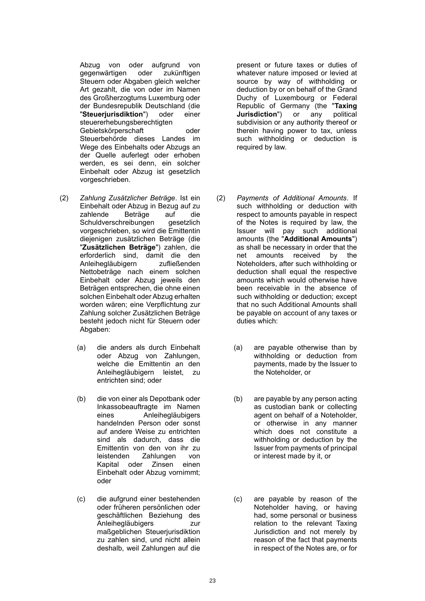Abzug von oder aufgrund von gegenwärtigen oder zukünftigen Steuern oder Abgaben gleich welcher Art gezahlt, die von oder im Namen des Großherzogtums Luxemburg oder der Bundesrepublik Deutschland (die "**Steuerjurisdiktion**") oder einer steuererhebungsberechtigten Gebietskörperschaft oder Steuerbehörde dieses Landes im Wege des Einbehalts oder Abzugs an der Quelle auferlegt oder erhoben werden, es sei denn, ein solcher Einbehalt oder Abzug ist gesetzlich vorgeschrieben.

- (2) *Zahlung Zusätzlicher Beträge*. Ist ein Einbehalt oder Abzug in Bezug auf zu zahlende Beträge auf die Schuldverschreibungen gesetzlich vorgeschrieben, so wird die Emittentin diejenigen zusätzlichen Beträge (die "**Zusätzlichen Beträge**") zahlen, die erforderlich sind, damit die den Anleihegläubigern zufließenden Nettobeträge nach einem solchen Einbehalt oder Abzug jeweils den Beträgen entsprechen, die ohne einen solchen Einbehalt oder Abzug erhalten worden wären; eine Verpflichtung zur Zahlung solcher Zusätzlichen Beträge besteht jedoch nicht für Steuern oder Abgaben:
	- (a) die anders als durch Einbehalt oder Abzug von Zahlungen, welche die Emittentin an den Anleihegläubigern leistet, zu entrichten sind; oder
	- (b) die von einer als Depotbank oder Inkassobeauftragte im Namen eines Anleihegläubigers handelnden Person oder sonst auf andere Weise zu entrichten sind als dadurch, dass die Emittentin von den von ihr zu leistenden Zahlungen von Kapital oder Zinsen einen Einbehalt oder Abzug vornimmt; oder
	- (c) die aufgrund einer bestehenden oder früheren persönlichen oder geschäftlichen Beziehung des Anleihegläubigers zur maßgeblichen Steuerjurisdiktion zu zahlen sind, und nicht allein deshalb, weil Zahlungen auf die

present or future taxes or duties of whatever nature imposed or levied at source by way of withholding or deduction by or on behalf of the Grand Duchy of Luxembourg or Federal Republic of Germany (the "**Taxing Jurisdiction**") or any political subdivision or any authority thereof or therein having power to tax, unless such withholding or deduction is required by law.

- (2) *Payments of Additional Amounts*. If such withholding or deduction with respect to amounts payable in respect of the Notes is required by law, the Issuer will pay such additional amounts (the "**Additional Amounts**") as shall be necessary in order that the net amounts received by the Noteholders, after such withholding or deduction shall equal the respective amounts which would otherwise have been receivable in the absence of such withholding or deduction; except that no such Additional Amounts shall be payable on account of any taxes or duties which:
	- (a) are payable otherwise than by withholding or deduction from payments, made by the Issuer to the Noteholder, or
	- (b) are payable by any person acting as custodian bank or collecting agent on behalf of a Noteholder, or otherwise in any manner which does not constitute a withholding or deduction by the Issuer from payments of principal or interest made by it, or
	- (c) are payable by reason of the Noteholder having, or having had, some personal or business relation to the relevant Taxing Jurisdiction and not merely by reason of the fact that payments in respect of the Notes are, or for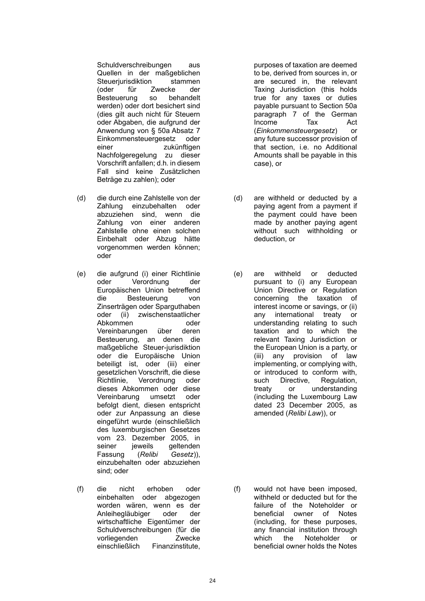Schuldverschreibungen aus Quellen in der maßgeblichen Steuerjurisdiktion stammen (oder für Zwecke der Besteuerung so behandelt werden) oder dort besichert sind (dies gilt auch nicht für Steuern oder Abgaben, die aufgrund der Anwendung von § 50a Absatz 7 Einkommensteuergesetz oder einer zukünftigen Nachfolgeregelung zu dieser Vorschrift anfallen; d.h. in diesem Fall sind keine Zusätzlichen Beträge zu zahlen); oder

- (d) die durch eine Zahlstelle von der Zahlung einzubehalten oder abzuziehen sind, wenn die Zahlung von einer anderen Zahlstelle ohne einen solchen Einbehalt oder Abzug hätte vorgenommen werden können; oder
- (e) die aufgrund (i) einer Richtlinie oder Verordnung der Europäischen Union betreffend die Besteuerung von Zinserträgen oder Sparguthaben oder (ii) zwischenstaatlicher Abkommen oder Vereinbarungen über deren Besteuerung, an denen die maßgebliche Steuer-jurisdiktion oder die Europäische Union beteiligt ist, oder (iii) einer gesetzlichen Vorschrift, die diese Richtlinie, Verordnung oder dieses Abkommen oder diese Vereinbarung umsetzt oder befolgt dient, diesen entspricht oder zur Anpassung an diese eingeführt wurde (einschließlich des luxemburgischen Gesetzes vom 23. Dezember 2005, in seiner jeweils geltenden Fassung (*Relibi Gesetz*)), einzubehalten oder abzuziehen sind; oder
- (f) die nicht erhoben oder einbehalten oder abgezogen worden wären, wenn es der Anleihegläubiger oder der wirtschaftliche Eigentümer der Schuldverschreibungen (für die vorliegenden Zwecke einschließlich Finanzinstitute,

purposes of taxation are deemed to be, derived from sources in, or are secured in, the relevant Taxing Jurisdiction (this holds true for any taxes or duties payable pursuant to Section 50a paragraph 7 of the German Income Tax Act (*Einkommensteuergesetz*) or any future successor provision of that section, i.e. no Additional Amounts shall be payable in this case), or

- (d) are withheld or deducted by a paying agent from a payment if the payment could have been made by another paying agent without such withholding or deduction, or
- (e) are withheld or deducted pursuant to (i) any European Union Directive or Regulation concerning the taxation of interest income or savings, or (ii) any international treaty or understanding relating to such taxation and to which the relevant Taxing Jurisdiction or the European Union is a party, or (iii) any provision of law implementing, or complying with, or introduced to conform with, such Directive, Regulation, treaty or understanding (including the Luxembourg Law dated 23 December 2005, as amended (*Relibi Law*)), or

(f) would not have been imposed, withheld or deducted but for the failure of the Noteholder or beneficial owner of Notes (including, for these purposes, any financial institution through which the Noteholder or beneficial owner holds the Notes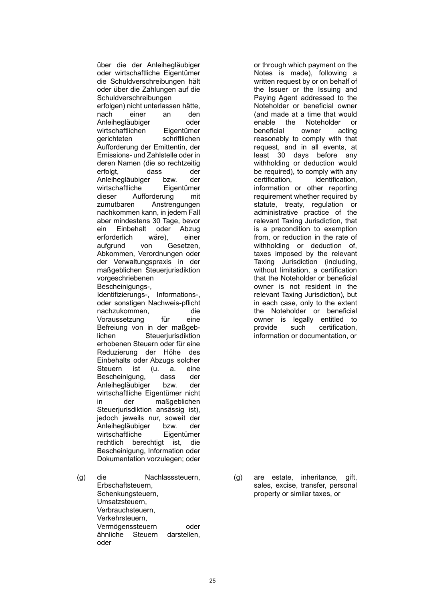über die der Anleihegläubiger oder wirtschaftliche Eigentümer die Schuldverschreibungen hält oder über die Zahlungen auf die Schuldverschreibungen erfolgen) nicht unterlassen hätte, nach einer an den Anleihegläubiger oder wirtschaftlichen Eigentümer<br>
gerichteten schriftlichen schriftlichen Aufforderung der Emittentin, der Emissions- und Zahlstelle oder in deren Namen (die so rechtzeitig erfolgt, dass der Anleihegläubiger bzw. der wirtschaftliche Eigentümer dieser Aufforderung mit zumutbaren Anstrengungen nachkommen kann, in jedem Fall aber mindestens 30 Tage, bevor ein Einbehalt oder Abzug erforderlich wäre), einer aufgrund von Gesetzen, Abkommen, Verordnungen oder der Verwaltungspraxis in der maßgeblichen Steuerjurisdiktion vorgeschriebenen Bescheinigungs-, Identifizierungs-, Informations-, oder sonstigen Nachweis-pflicht nachzukommen, die Voraussetzung für eine Befreiung von in der maßgeblichen Steuerjurisdiktion erhobenen Steuern oder für eine Reduzierung der Höhe des Einbehalts oder Abzugs solcher Steuern ist (u. a. eine Bescheinigung, dass der Anleihegläubiger bzw. der wirtschaftliche Eigentümer nicht in der maßgeblichen Steuerjurisdiktion ansässig ist), jedoch jeweils nur, soweit der Anleihegläubiger bzw. der wirtschaftliche Eigentümer rechtlich berechtigt ist, die Bescheinigung, Information oder Dokumentation vorzulegen; oder

(g) die Nachlasssteuern, Erbschaftsteuern, Schenkungsteuern, Umsatzsteuern, Verbrauchsteuern, Verkehrsteuern, Vermögenssteuern oder ähnliche Steuern darstellen, oder

or through which payment on the Notes is made), following a written request by or on behalf of the Issuer or the Issuing and Paying Agent addressed to the Noteholder or beneficial owner (and made at a time that would enable the Noteholder or beneficial owner acting reasonably to comply with that request, and in all events, at least 30 days before any withholding or deduction would be required), to comply with any certification, identification, information or other reporting requirement whether required by statute, treaty, regulation or administrative practice of the relevant Taxing Jurisdiction, that is a precondition to exemption from, or reduction in the rate of withholding or deduction of, taxes imposed by the relevant Taxing Jurisdiction (including, without limitation, a certification that the Noteholder or beneficial owner is not resident in the relevant Taxing Jurisdiction), but in each case, only to the extent the Noteholder or beneficial owner is legally entitled to provide such certification, information or documentation, or

(g) are estate, inheritance, gift, sales, excise, transfer, personal property or similar taxes, or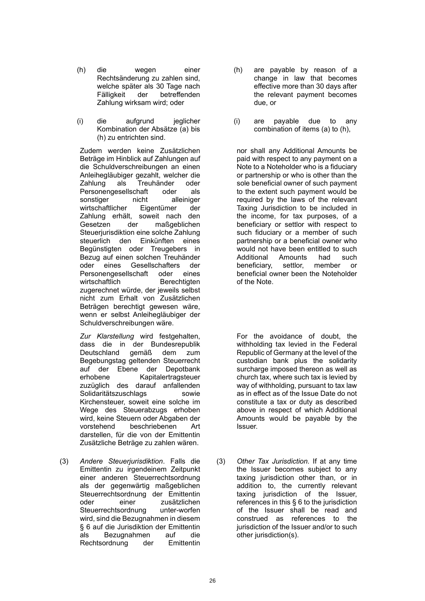- (h) die wegen einer Rechtsänderung zu zahlen sind, welche später als 30 Tage nach Fälligkeit der betreffenden Zahlung wirksam wird; oder
- (i) die aufgrund jeglicher Kombination der Absätze (a) bis (h) zu entrichten sind.

Zudem werden keine Zusätzlichen Beträge im Hinblick auf Zahlungen auf die Schuldverschreibungen an einen Anleihegläubiger gezahlt, welcher die Zahlung als Treuhänder oder Personengesellschaft oder als sonstiger nicht alleiniger wirtschaftlicher Eigentümer der Zahlung erhält, soweit nach den<br>Gesetzen der maßgeblichen Gesetzen der maßgeblichen Steueriurisdiktion eine solche Zahlung steuerlich den Einkünften eines Begünstigten oder Treugebers in Bezug auf einen solchen Treuhänder oder eines Gesellschafters der Personengesellschaft oder eines wirtschaftlich Berechtigten zugerechnet würde, der jeweils selbst nicht zum Erhalt von Zusätzlichen Beträgen berechtigt gewesen wäre, wenn er selbst Anleihegläubiger der Schuldverschreibungen wäre.

*Zur Klarstellung* wird festgehalten, dass die in der Bundesrepublik<br>Deutschland gemäß dem zum Deutschland gemäß dem zum Begebungstag geltenden Steuerrecht auf der Ebene der Depotbank erhobene Kapitalertragsteuer zuzüglich des darauf anfallenden Solidaritätszuschlags sowie Kirchensteuer, soweit eine solche im Wege des Steuerabzugs erhoben wird, keine Steuern oder Abgaben der vorstehend beschriebenen Art darstellen, für die von der Emittentin Zusätzliche Beträge zu zahlen wären.

(3) *Andere Steuerjurisdiktion*. Falls die Emittentin zu irgendeinem Zeitpunkt einer anderen Steuerrechtsordnung als der gegenwärtig maßgeblichen Steuerrechtsordnung der Emittentin oder einer zusätzlichen Steuerrechtsordnung unter-worfen wird, sind die Bezugnahmen in diesem § 6 auf die Jurisdiktion der Emittentin als Bezugnahmen auf die Rechtsordnung der Emittentin

- (h) are payable by reason of a change in law that becomes effective more than 30 days after the relevant payment becomes due, or
- (i) are payable due to any combination of items (a) to (h),

nor shall any Additional Amounts be paid with respect to any payment on a Note to a Noteholder who is a fiduciary or partnership or who is other than the sole beneficial owner of such payment to the extent such payment would be required by the laws of the relevant Taxing Jurisdiction to be included in the income, for tax purposes, of a beneficiary or settlor with respect to such fiduciary or a member of such partnership or a beneficial owner who would not have been entitled to such Additional Amounts had such beneficiary, settlor, member or beneficial owner been the Noteholder of the Note.

For the avoidance of doubt, the withholding tax levied in the Federal Republic of Germany at the level of the custodian bank plus the solidarity surcharge imposed thereon as well as church tax, where such tax is levied by way of withholding, pursuant to tax law as in effect as of the Issue Date do not constitute a tax or duty as described above in respect of which Additional Amounts would be payable by the Issuer.

(3) *Other Tax Jurisdiction.* If at any time the Issuer becomes subject to any taxing jurisdiction other than, or in addition to, the currently relevant taxing jurisdiction of the Issuer, references in this § 6 to the jurisdiction of the Issuer shall be read and construed as references to the jurisdiction of the Issuer and/or to such other jurisdiction(s).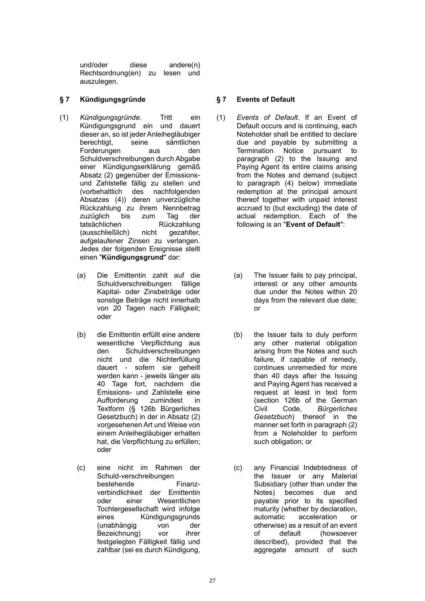und/oder diese andere(n) Rechtsordnung(en) zu lesen und auszulegen.

## **§ 7 Kündigungsgründe § 7 Events of Default**

- (1) *Kündigungsgründe.* Tritt ein Kündigungsgrund ein und dauert dieser an, so ist jeder Anleihegläubiger berechtigt, seine sämtlichen Forderungen aus den Schuldverschreibungen durch Abgabe einer Kündigungserklärung gemäß Absatz (2) gegenüber der Emissionsund Zahlstelle fällig zu stellen und (vorbehaltlich des nachfolgenden Absatzes (4)) deren unverzügliche Rückzahlung zu ihrem Nennbetrag zuzüglich bis zum Tag der tatsächlichen Rückzahlung (ausschließlich) nicht gezahlter, aufgelaufener Zinsen zu verlangen. Jedes der folgenden Ereignisse stellt einen "**Kündigungsgrund**" dar:
	- (a) Die Emittentin zahlt auf die Schuldverschreibungen fällige Kapital- oder Zinsbeträge oder sonstige Beträge nicht innerhalb von 20 Tagen nach Fälligkeit; oder
	- (b) die Emittentin erfüllt eine andere wesentliche Verpflichtung aus den Schuldverschreibungen nicht und die Nichterfüllung dauert - sofern sie geheilt werden kann - jeweils länger als 40 Tage fort, nachdem die Emissions- und Zahlstelle eine Aufforderung zumindest in Textform (§ 126b Bürgerliches Gesetzbuch) in der in Absatz (2) vorgesehenen Art und Weise von einem Anleihegläubiger erhalten hat, die Verpflichtung zu erfüllen; oder
	- (c) eine nicht im Rahmen der Schuld-verschreibungen bestehende Finanzverbindlichkeit der Emittentin oder einer Wesentlichen Tochtergesellschaft wird infolge eines Kündigungsgrunds (unabhängig von der Bezeichnung) vor ihrer festgelegten Fälligkeit fällig und zahlbar (sei es durch Kündigung,

- (1) *Events of Default*. If an Event of Default occurs and is continuing, each Noteholder shall be entitled to declare due and payable by submitting a Termination Notice pursuant to paragraph (2) to the Issuing and Paying Agent its entire claims arising from the Notes and demand (subject to paragraph (4) below) immediate redemption at the principal amount thereof together with unpaid interest accrued to (but excluding) the date of actual redemption. Each of the following is an "**Event of Default**":
	- (a) The Issuer fails to pay principal, interest or any other amounts due under the Notes within 20 days from the relevant due date; or
	- (b) the Issuer fails to duly perform any other material obligation arising from the Notes and such failure, if capable of remedy, continues unremedied for more than 40 days after the Issuing and Paying Agent has received a request at least in text form (section 126b of the German Civil Code, *Bürgerliches Gesetzbuch*) thereof in the manner set forth in paragraph (2) from a Noteholder to perform such obligation; or
	- (c) any Financial Indebtedness of the Issuer or any Material Subsidiary (other than under the Notes) becomes due and payable prior to its specified maturity (whether by declaration, automatic acceleration or otherwise) as a result of an event of default (howsoever described), provided that the aggregate amount of such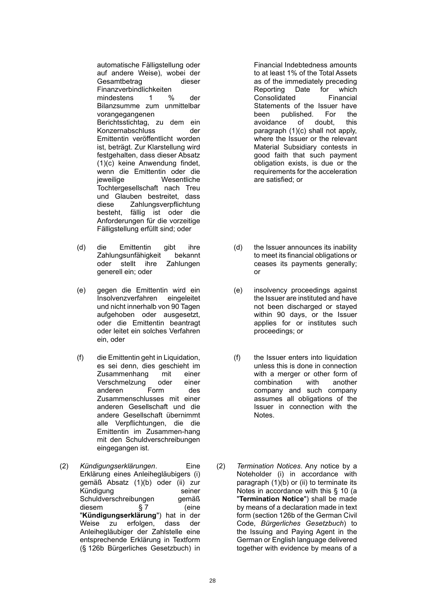automatische Fälligstellung oder auf andere Weise), wobei der Gesamtbetrag dieser Finanzverbindlichkeiten mindestens 1 % der Bilanzsumme zum unmittelbar vorangegangenen Berichtsstichtag, zu dem ein Konzernabschluss der Emittentin veröffentlicht worden ist, beträgt. Zur Klarstellung wird festgehalten, dass dieser Absatz (1)(c) keine Anwendung findet, wenn die Emittentin oder die jeweilige Wesentliche Tochtergesellschaft nach Treu und Glauben bestreitet, dass diese Zahlungsverpflichtung besteht, fällig ist oder die Anforderungen für die vorzeitige Fälligstellung erfüllt sind; oder

- (d) die Emittentin gibt ihre Zahlungsunfähigkeit bekannt oder stellt ihre Zahlungen generell ein; oder
- (e) gegen die Emittentin wird ein Insolvenzverfahren eingeleitet und nicht innerhalb von 90 Tagen aufgehoben oder ausgesetzt, oder die Emittentin beantragt oder leitet ein solches Verfahren ein, oder
- (f) die Emittentin geht in Liquidation, es sei denn, dies geschieht im Zusammenhang mit einer Verschmelzung oder einer anderen Form des Zusammenschlusses mit einer anderen Gesellschaft und die andere Gesellschaft übernimmt alle Verpflichtungen, die die Emittentin im Zusammen-hang mit den Schuldverschreibungen eingegangen ist.
- (2) *Kündigungserklärungen*. Eine Erklärung eines Anleihegläubigers (i) gemäß Absatz (1)(b) oder (ii) zur Kündigung seiner Schuldverschreibungen gemäß diesem § 7 (eine "**Kündigungserklärung**") hat in der Weise zu erfolgen, dass der Anleihegläubiger der Zahlstelle eine entsprechende Erklärung in Textform (§ 126b Bürgerliches Gesetzbuch) in

Financial Indebtedness amounts to at least 1% of the Total Assets as of the immediately preceding Reporting Date for which Consolidated Financial Statements of the Issuer have been published. For the avoidance of doubt, this paragraph (1)(c) shall not apply, where the Issuer or the relevant Material Subsidiary contests in good faith that such payment obligation exists, is due or the requirements for the acceleration are satisfied; or

- (d) the Issuer announces its inability to meet its financial obligations or ceases its payments generally; or
- (e) insolvency proceedings against the Issuer are instituted and have not been discharged or stayed within 90 days, or the Issuer applies for or institutes such proceedings; or
- (f) the Issuer enters into liquidation unless this is done in connection with a merger or other form of combination with another company and such company assumes all obligations of the Issuer in connection with the Notes.
- (2) *Termination Notices*. Any notice by a Noteholder (i) in accordance with paragraph (1)(b) or (ii) to terminate its Notes in accordance with this § 10 (a "**Termination Notice**") shall be made by means of a declaration made in text form (section 126b of the German Civil Code, *Bürgerliches Gesetzbuch*) to the Issuing and Paying Agent in the German or English language delivered together with evidence by means of a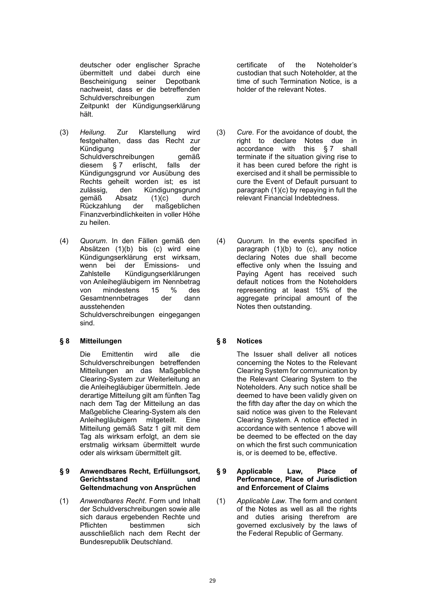deutscher oder englischer Sprache übermittelt und dabei durch eine Bescheinigung seiner Depotbank nachweist, dass er die betreffenden Schuldverschreibungen zum Zeitpunkt der Kündigungserklärung hält.

- (3) *Heilung.* Zur Klarstellung wird festgehalten, dass das Recht zur Kündigung der<br>Schuldverschreibungen aemäß Schuldverschreibungen diesem § 7 erlischt, falls der Kündigungsgrund vor Ausübung des Rechts geheilt worden ist; es ist zulässig, den Kündigungsgrund gemäß Absatz (1)(c) durch Rückzahlung der maßgeblichen Finanzverbindlichkeiten in voller Höhe zu heilen.
- (4) *Quorum*. In den Fällen gemäß den Absätzen (1)(b) bis (c) wird eine Kündigungserklärung erst wirksam, wenn bei der Emissions- und Zahlstelle Kündigungserklärungen von Anleihegläubigern im Nennbetrag von mindestens 15 % des Gesamtnennbetrages der dann ausstehenden Schuldverschreibungen eingegangen sind.

## **§ 8 Mitteilungen § 8 Notices**

Die Emittentin wird alle die Schuldverschreibungen betreffenden Mitteilungen an das Maßgebliche Clearing-System zur Weiterleitung an die Anleihegläubiger übermitteln. Jede derartige Mitteilung gilt am fünften Tag nach dem Tag der Mitteilung an das Maßgebliche Clearing-System als den Anleihegläubigern mitgeteilt. Eine Mitteilung gemäß Satz 1 gilt mit dem Tag als wirksam erfolgt, an dem sie erstmalig wirksam übermittelt wurde oder als wirksam übermittelt gilt.

### **§ 9 Anwendbares Recht, Erfüllungsort, Gerichtsstand und Geltendmachung von Ansprüchen**

(1) *Anwendbares Recht*. Form und Inhalt der Schuldverschreibungen sowie alle sich daraus ergebenden Rechte und Pflichten bestimmen sich ausschließlich nach dem Recht der Bundesrepublik Deutschland.

certificate of the Noteholder's custodian that such Noteholder, at the time of such Termination Notice, is a holder of the relevant Notes.

- (3) *Cure.* For the avoidance of doubt, the right to declare Notes due in accordance with this § 7 shall terminate if the situation giving rise to it has been cured before the right is exercised and it shall be permissible to cure the Event of Default pursuant to paragraph (1)(c) by repaying in full the relevant Financial Indebtedness.
- (4) *Quorum.* In the events specified in paragraph (1)(b) to (c), any notice declaring Notes due shall become effective only when the Issuing and Paying Agent has received such default notices from the Noteholders representing at least 15% of the aggregate principal amount of the Notes then outstanding.

The Issuer shall deliver all notices concerning the Notes to the Relevant Clearing System for communication by the Relevant Clearing System to the Noteholders. Any such notice shall be deemed to have been validly given on the fifth day after the day on which the said notice was given to the Relevant Clearing System. A notice effected in accordance with sentence 1 above will be deemed to be effected on the day on which the first such communication is, or is deemed to be, effective.

### **§ 9 Applicable Law, Place of Performance, Place of Jurisdiction and Enforcement of Claims**

(1) *Applicable Law*. The form and content of the Notes as well as all the rights and duties arising therefrom are governed exclusively by the laws of the Federal Republic of Germany.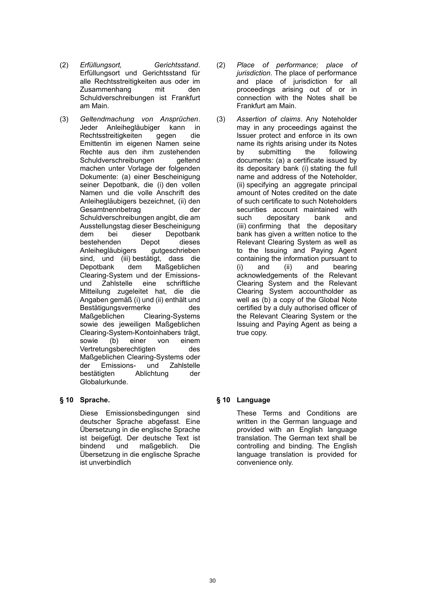- (2) *Erfüllungsort, Gerichtsstand*. Erfüllungsort und Gerichtsstand für alle Rechtsstreitigkeiten aus oder im Zusammenhang mit den Schuldverschreibungen ist Frankfurt am Main.
- (3) *Geltendmachung von Ansprüchen*. Jeder Anleihegläubiger kann in Rechtsstreitigkeiten gegen die Emittentin im eigenen Namen seine Rechte aus den ihm zustehenden Schuldverschreibungen geltend machen unter Vorlage der folgenden Dokumente: (a) einer Bescheinigung seiner Depotbank, die (i) den vollen Namen und die volle Anschrift des Anleihegläubigers bezeichnet, (ii) den Gesamtnennbetrag der Schuldverschreibungen angibt, die am Ausstellungstag dieser Bescheinigung dem bei dieser Depotbank bestehenden Depot dieses Anleihegläubigers gutgeschrieben sind, und (iii) bestätigt, dass die Depotbank dem Maßgeblichen Clearing-System und der Emissionsund Zahlstelle eine schriftliche Mitteilung zugeleitet hat, die die Angaben gemäß (i) und (ii) enthält und Bestätigungsvermerke des Maßgeblichen Clearing-Systems sowie des jeweiligen Maßgeblichen Clearing-System-Kontoinhabers trägt, sowie (b) einer von einem Vertretungsberechtigten des Maßgeblichen Clearing-Systems oder der Emissions- und Zahlstelle bestätigten Ablichtung der Globalurkunde.

Diese Emissionsbedingungen sind deutscher Sprache abgefasst. Eine Übersetzung in die englische Sprache ist beigefügt. Der deutsche Text ist bindend und maßgeblich. Die Übersetzung in die englische Sprache ist unverbindlich

- (2) *Place of performance; place of jurisdiction*. The place of performance and place of jurisdiction for all proceedings arising out of or in connection with the Notes shall be Frankfurt am Main.
- (3) *Assertion of claims*. Any Noteholder may in any proceedings against the Issuer protect and enforce in its own name its rights arising under its Notes by submitting the following documents: (a) a certificate issued by its depositary bank (i) stating the full name and address of the Noteholder, (ii) specifying an aggregate principal amount of Notes credited on the date of such certificate to such Noteholders securities account maintained with such depositary bank and (iii) confirming that the depositary bank has given a written notice to the Relevant Clearing System as well as to the Issuing and Paying Agent containing the information pursuant to (i) and (ii) and bearing acknowledgements of the Relevant Clearing System and the Relevant Clearing System accountholder as well as (b) a copy of the Global Note certified by a duly authorised officer of the Relevant Clearing System or the Issuing and Paying Agent as being a true copy.

# **§ 10 Sprache. § 10 Language**

These Terms and Conditions are written in the German language and provided with an English language translation. The German text shall be controlling and binding. The English language translation is provided for convenience only.